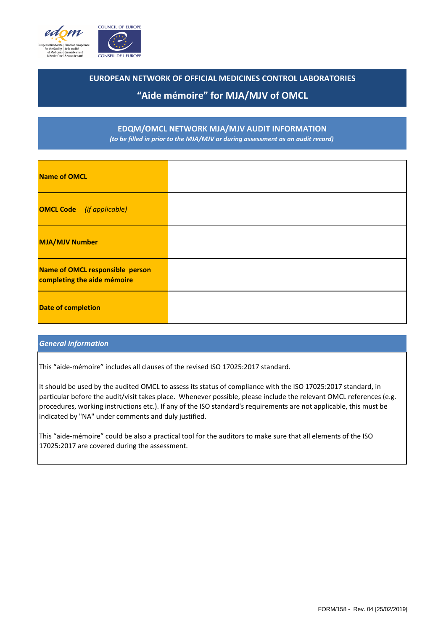

### **EUROPEAN NETWORK OF OFFICIAL MEDICINES CONTROL LABORATORIES**

# **"Aide mémoire" for MJA/MJV of OMCL**

### **EDQM/OMCL NETWORK MJA/MJV AUDIT INFORMATION** *(to be filled in prior to the MJA/MJV or during assessment as an audit record)*

| <b>Name of OMCL</b>                                            |  |
|----------------------------------------------------------------|--|
| <b>OMCL Code</b> (if applicable)                               |  |
| <b>MJA/MJV Number</b>                                          |  |
| Name of OMCL responsible person<br>completing the aide mémoire |  |
| <b>Date of completion</b>                                      |  |

### *General Information*

This "aide-mémoire" includes all clauses of the revised ISO 17025:2017 standard.

It should be used by the audited OMCL to assess its status of compliance with the ISO 17025:2017 standard, in particular before the audit/visit takes place. Whenever possible, please include the relevant OMCL references (e.g. procedures, working instructions etc.). If any of the ISO standard's requirements are not applicable, this must be indicated by "NA" under comments and duly justified.

This "aide-mémoire" could be also a practical tool for the auditors to make sure that all elements of the ISO 17025:2017 are covered during the assessment.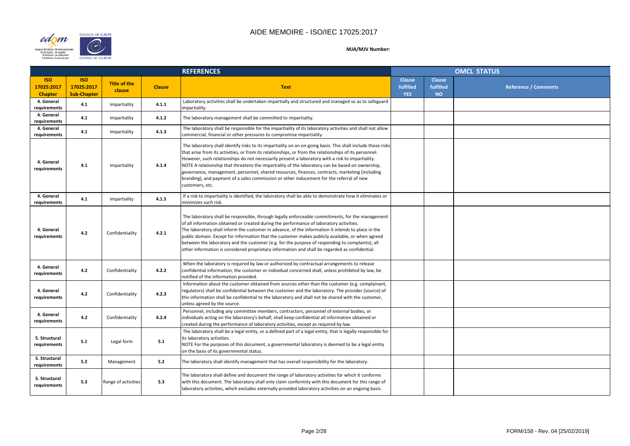

# **CONSEIL DE L'EUROPE**

|                |                                         | OMCL STATUS                 |
|----------------|-----------------------------------------|-----------------------------|
| se<br>ed<br>ĵ. | <b>Clause</b><br>fulfilled<br><b>NO</b> | <b>Reference / Comments</b> |
|                |                                         |                             |
|                |                                         |                             |
|                |                                         |                             |
|                |                                         |                             |
|                |                                         |                             |
|                |                                         |                             |
|                |                                         |                             |
|                |                                         |                             |
|                |                                         |                             |
|                |                                         |                             |
|                |                                         |                             |
|                |                                         |                             |
|                |                                         |                             |
|                |                                         |                             |
|                |                                         |                             |
|                |                                         |                             |
|                |                                         |                             |
|                |                                         |                             |
|                |                                         |                             |
|                |                                         |                             |

|                                            |                                                |                               | <b>REFERENCES</b> |                                                                                                                                                                                                                                                                                                                                                                                                                                                                                                                                                                                                                                                 | <b>OMCL STATUS</b>                       |                                         |  |
|--------------------------------------------|------------------------------------------------|-------------------------------|-------------------|-------------------------------------------------------------------------------------------------------------------------------------------------------------------------------------------------------------------------------------------------------------------------------------------------------------------------------------------------------------------------------------------------------------------------------------------------------------------------------------------------------------------------------------------------------------------------------------------------------------------------------------------------|------------------------------------------|-----------------------------------------|--|
| <b>ISO</b><br>17025:2017<br><b>Chapter</b> | <b>ISO</b><br>17025:2017<br><b>Sub-Chapter</b> | <b>Title of the</b><br>clause | <b>Clause</b>     | <b>Text</b>                                                                                                                                                                                                                                                                                                                                                                                                                                                                                                                                                                                                                                     | <b>Clause</b><br>fulfilled<br><b>YES</b> | <b>Clause</b><br>fulfilled<br><b>NO</b> |  |
| 4. General<br>requirements                 | 4.1                                            | Impartiality                  | 4.1.1             | Laboratory activities shall be undertaken impartially and structured and managed so as to safeguard<br>impartiality.                                                                                                                                                                                                                                                                                                                                                                                                                                                                                                                            |                                          |                                         |  |
| 4. General<br>requirements                 | 4.1                                            | Impartiality                  | 4.1.2             | The laboratory management shall be committed to impartiality.                                                                                                                                                                                                                                                                                                                                                                                                                                                                                                                                                                                   |                                          |                                         |  |
| 4. General<br>requirements                 | 4.1                                            | Impartiality                  | 4.1.3             | The laboratory shall be responsible for the impartiality of its laboratory activities and shall not allow<br>commercial, financial or other pressures to compromise impartiality.                                                                                                                                                                                                                                                                                                                                                                                                                                                               |                                          |                                         |  |
| 4. General<br>requirements                 | 4.1                                            | Impartiality                  | 4.1.4             | The laboratory shall identify risks to its impartiality on an on-going basis. This shall include those risks<br>that arise from its activities, or from its relationships, or from the relationships of its personnel.<br>However, such relationships do not necessarily present a laboratory with a risk to impartiality.<br>NOTE A relationship that threatens the impartiality of the laboratory can be based on ownership,<br>governance, management, personnel, shared resources, finances, contracts, marketing (including<br>branding), and payment of a sales commission or other inducement for the referral of new<br>customers, etc. |                                          |                                         |  |
| 4. General<br>requirements                 | 4.1                                            | Impartiality                  | 4.1.5             | If a risk to impartiality is identified, the laboratory shall be able to demonstrate how it eliminates or<br>minimizes such risk.                                                                                                                                                                                                                                                                                                                                                                                                                                                                                                               |                                          |                                         |  |
| 4. General<br>requirements                 | 4.2                                            | Confidentiality               | 4.2.1             | The laboratory shall be responsible, through legally enforceable commitments, for the management<br>of all information obtained or created during the performance of laboratory activities.<br>The laboratory shall inform the customer in advance, of the information it intends to place in the<br>public domain. Except for information that the customer makes publicly available, or when agreed<br>between the laboratory and the customer (e.g. for the purpose of responding to complaints), all<br>other information is considered proprietary information and shall be regarded as confidential.                                      |                                          |                                         |  |
| 4. General<br>requirements                 | 4.2                                            | Confidentiality               | 4.2.2             | When the laboratory is required by law or authorized by contractual arrangements to release<br>confidential information, the customer or individual concerned shall, unless prohibited by law, be<br>notified of the information provided.                                                                                                                                                                                                                                                                                                                                                                                                      |                                          |                                         |  |
| 4. General<br>requirements                 | 4.2                                            | Confidentiality               | 4.2.3             | Information about the customer obtained from sources other than the customer (e.g. complainant,<br>regulators) shall be confidential between the customer and the laboratory. The provider (source) of<br>this information shall be confidential to the laboratory and shall not be shared with the customer,<br>unless agreed by the source.                                                                                                                                                                                                                                                                                                   |                                          |                                         |  |
| 4. General<br>requirements                 | 4.2                                            | Confidentiality               | 4.2.4             | Personnel, including any committee members, contractors, personnel of external bodies, or<br>individuals acting on the laboratory's behalf, shall keep confidential all information obtained or<br>created during the performance of laboratory activities, except as required by law.                                                                                                                                                                                                                                                                                                                                                          |                                          |                                         |  |
| 5. Structural<br>requirements              | 5.1                                            | Legal form                    | 5.1               | The laboratory shall be a legal entity, or a defined part of a legal entity, that is legally responsible for<br>its laboratory activities.<br>NOTE For the purposes of this document, a governmental laboratory is deemed to be a legal entity<br>on the basis of its governmental status.                                                                                                                                                                                                                                                                                                                                                      |                                          |                                         |  |
| 5. Structural<br>requirements              | 5.2                                            | Management                    | 5.2               | The laboratory shall identify management that has overall responsibility for the laboratory.                                                                                                                                                                                                                                                                                                                                                                                                                                                                                                                                                    |                                          |                                         |  |
| 5. Structural<br>requirements              | 5.3                                            | Range of activities           | 5.3               | The laboratory shall define and document the range of laboratory activities for which it conforms<br>with this document. The laboratory shall only claim conformity with this document for this range of<br>laboratory activities, which excludes externally provided laboratory activities on an ongoing basis.                                                                                                                                                                                                                                                                                                                                |                                          |                                         |  |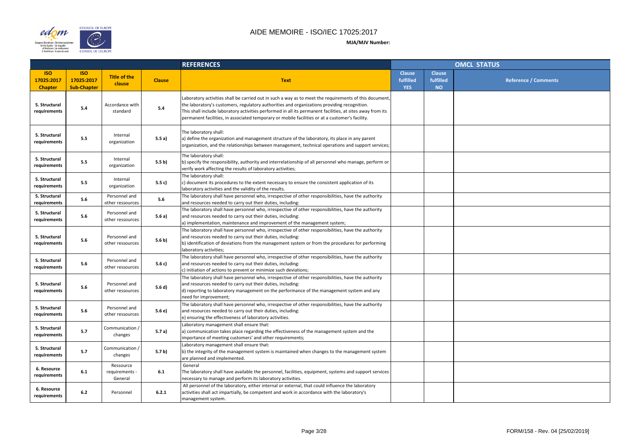

|                |                                         | <b>OMCL STATUS</b> |                             |
|----------------|-----------------------------------------|--------------------|-----------------------------|
| se<br>ed<br>ĵ. | <b>Clause</b><br>fulfilled<br><b>NO</b> |                    | <b>Reference / Comments</b> |
|                |                                         |                    |                             |
|                |                                         |                    |                             |
|                |                                         |                    |                             |
|                |                                         |                    |                             |
|                |                                         |                    |                             |
|                |                                         |                    |                             |
|                |                                         |                    |                             |
|                |                                         |                    |                             |
|                |                                         |                    |                             |
|                |                                         |                    |                             |
|                |                                         |                    |                             |
|                |                                         |                    |                             |
|                |                                         |                    |                             |
|                |                                         |                    |                             |
|                |                                         |                    |                             |

|                                            |                                                |                                        |                  | <b>REFERENCES</b>                                                                                                                                                                                                                                                                                                                                                                                                      |                                          | <b>OMCL STATUS</b>                      |  |  |
|--------------------------------------------|------------------------------------------------|----------------------------------------|------------------|------------------------------------------------------------------------------------------------------------------------------------------------------------------------------------------------------------------------------------------------------------------------------------------------------------------------------------------------------------------------------------------------------------------------|------------------------------------------|-----------------------------------------|--|--|
| <b>ISO</b><br>17025:2017<br><b>Chapter</b> | <b>ISO</b><br>17025:2017<br><b>Sub-Chapter</b> | <b>Title of the</b><br>clause          | <b>Clause</b>    | <b>Text</b>                                                                                                                                                                                                                                                                                                                                                                                                            | <b>Clause</b><br>fulfilled<br><b>YES</b> | <b>Clause</b><br>fulfilled<br><b>NO</b> |  |  |
| 5. Structural<br>requirements              | 5.4                                            | Accordance with<br>standard            | 5.4              | Laboratory activities shall be carried out in such a way as to meet the requirements of this document,<br>the laboratory's customers, regulatory authorities and organizations providing recognition.<br>This shall include laboratory activities performed in all its permanent facilities, at sites away from its<br>permanent facilities, in associated temporary or mobile facilities or at a customer's facility. |                                          |                                         |  |  |
| 5. Structural<br>requirements              | 5.5                                            | Internal<br>organization               | 5.5a)            | The laboratory shall:<br>a) define the organization and management structure of the laboratory, its place in any parent<br>organization, and the relationships between management, technical operations and support services;                                                                                                                                                                                          |                                          |                                         |  |  |
| 5. Structural<br>requirements              | 5.5                                            | Internal<br>organization               | 5.5 <sub>b</sub> | The laboratory shall:<br>b) specify the responsibility, authority and interrelationship of all personnel who manage, perform or<br>verify work affecting the results of laboratory activities;                                                                                                                                                                                                                         |                                          |                                         |  |  |
| 5. Structural<br>requirements              | 5.5                                            | Internal<br>organization               | 5.5 c)           | The laboratory shall:<br>c) document its procedures to the extent necessary to ensure the consistent application of its<br>laboratory activities and the validity of the results.                                                                                                                                                                                                                                      |                                          |                                         |  |  |
| 5. Structural<br>requirements              | 5.6                                            | Personnel and<br>other ressources      | 5.6              | The laboratory shall have personnel who, irrespective of other responsibilities, have the authority<br>and resources needed to carry out their duties, including:                                                                                                                                                                                                                                                      |                                          |                                         |  |  |
| 5. Structural<br>requirements              | 5.6                                            | Personnel and<br>other ressources      | 5.6a)            | The laboratory shall have personnel who, irrespective of other responsibilities, have the authority<br>and resources needed to carry out their duties, including:<br>a) implementation, maintenance and improvement of the management system;                                                                                                                                                                          |                                          |                                         |  |  |
| 5. Structural<br>requirements              | 5.6                                            | Personnel and<br>other ressources      | 5.6 b)           | The laboratory shall have personnel who, irrespective of other responsibilities, have the authority<br>and resources needed to carry out their duties, including:<br>b) identification of deviations from the management system or from the procedures for performing<br>laboratory activities;                                                                                                                        |                                          |                                         |  |  |
| 5. Structural<br>requirements              | 5.6                                            | Personnel and<br>other ressources      | 5.6 c)           | The laboratory shall have personnel who, irrespective of other responsibilities, have the authority<br>and resources needed to carry out their duties, including:<br>c) initiation of actions to prevent or minimize such deviations;                                                                                                                                                                                  |                                          |                                         |  |  |
| 5. Structural<br>requirements              | 5.6                                            | Personnel and<br>other ressources      | 5.6 d)           | The laboratory shall have personnel who, irrespective of other responsibilities, have the authority<br>and resources needed to carry out their duties, including:<br>d) reporting to laboratory management on the performance of the management system and any<br>need for improvement;                                                                                                                                |                                          |                                         |  |  |
| 5. Structural<br>requirements              | 5.6                                            | Personnel and<br>other ressources      | 5.6 e)           | The laboratory shall have personnel who, irrespective of other responsibilities, have the authority<br>and resources needed to carry out their duties, including:<br>e) ensuring the effectiveness of laboratory activities.                                                                                                                                                                                           |                                          |                                         |  |  |
| 5. Structural<br>requirements              | 5.7                                            | Communication /<br>changes             | 5.7 a)           | Laboratory management shall ensure that:<br>a) communication takes place regarding the effectiveness of the management system and the<br>importance of meeting customers' and other requirements;                                                                                                                                                                                                                      |                                          |                                         |  |  |
| 5. Structural<br>requirements              | 5.7                                            | Communication /<br>changes             | 5.7 <sub>b</sub> | Laboratory management shall ensure that:<br>b) the integrity of the management system is maintained when changes to the management system<br>are planned and implemented.                                                                                                                                                                                                                                              |                                          |                                         |  |  |
| 6. Resource<br>requirements                | 6.1                                            | Ressource<br>requirements -<br>General | 6.1              | General<br>The laboratory shall have available the personnel, facilities, equipment, systems and support services<br>necessary to manage and perform its laboratory activities.                                                                                                                                                                                                                                        |                                          |                                         |  |  |
| 6. Resource<br>requirements                | $6.2$                                          | Personnel                              | 6.2.1            | All personnel of the laboratory, either internal or external, that could influence the laboratory<br>activities shall act impartially, be competent and work in accordance with the laboratory's<br>management system.                                                                                                                                                                                                 |                                          |                                         |  |  |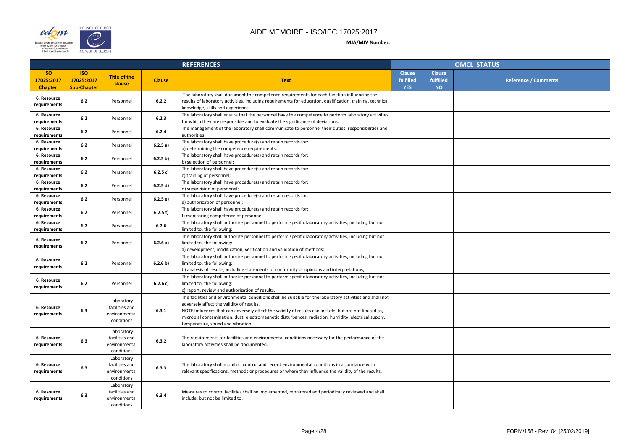

|               |                                         | <b>OMCL STATUS</b>   |
|---------------|-----------------------------------------|----------------------|
| se<br>ed<br>) | <b>Clause</b><br>fulfilled<br><b>NO</b> | Reference / Comments |
|               |                                         |                      |
|               |                                         |                      |
|               |                                         |                      |
|               |                                         |                      |
|               |                                         |                      |
|               |                                         |                      |
|               |                                         |                      |
|               |                                         |                      |
|               |                                         |                      |
|               |                                         |                      |
|               |                                         |                      |
|               |                                         |                      |
|               |                                         |                      |
|               |                                         |                      |
|               |                                         |                      |
|               |                                         |                      |
|               |                                         |                      |
|               |                                         |                      |

|                                            |                                                |                                                             |               | <b>REFERENCES</b>                                                                                                                                                                                                                                                                                                                                                                                             |                                          | <b>OMCL STATUS</b>                      |  |  |
|--------------------------------------------|------------------------------------------------|-------------------------------------------------------------|---------------|---------------------------------------------------------------------------------------------------------------------------------------------------------------------------------------------------------------------------------------------------------------------------------------------------------------------------------------------------------------------------------------------------------------|------------------------------------------|-----------------------------------------|--|--|
| <b>ISO</b><br>17025:2017<br><b>Chapter</b> | <b>ISO</b><br>17025:2017<br><b>Sub-Chapter</b> | <b>Title of the</b><br>clause                               | <b>Clause</b> | <b>Text</b>                                                                                                                                                                                                                                                                                                                                                                                                   | <b>Clause</b><br>fulfilled<br><b>YES</b> | <b>Clause</b><br>fulfilled<br><b>NO</b> |  |  |
| 6. Resource<br>requirements                | 6.2                                            | Personnel                                                   | 6.2.2         | The laboratory shall document the competence requirements for each function influencing the<br>results of laboratory activities, including requirements for education, qualification, training, technical<br>knowledge, skills and experience.                                                                                                                                                                |                                          |                                         |  |  |
| 6. Resource<br>requirements                | 6.2                                            | Personnel                                                   | 6.2.3         | The laboratory shall ensure that the personnel have the competence to perform laboratory activities<br>for which they are responsible and to evaluate the significance of deviations.                                                                                                                                                                                                                         |                                          |                                         |  |  |
| 6. Resource<br>requirements                | 6.2                                            | Personnel                                                   | 6.2.4         | The management of the laboratory shall communicate to personnel their duties, responsibilities and<br>authorities.                                                                                                                                                                                                                                                                                            |                                          |                                         |  |  |
| 6. Resource<br>requirements                | $6.2$                                          | Personnel                                                   | 6.2.5a)       | The laboratory shall have procedure(s) and retain records for:<br>a) determining the competence requirements;                                                                                                                                                                                                                                                                                                 |                                          |                                         |  |  |
| 6. Resource<br>requirements                | 6.2                                            | Personnel                                                   | 6.2.5 b)      | The laboratory shall have procedure(s) and retain records for:<br>b) selection of personnel;                                                                                                                                                                                                                                                                                                                  |                                          |                                         |  |  |
| 6. Resource<br>requirements                | 6.2                                            | Personnel                                                   | 6.2.5 c)      | The laboratory shall have procedure(s) and retain records for:<br>c) training of personnel;                                                                                                                                                                                                                                                                                                                   |                                          |                                         |  |  |
| 6. Resource<br>requirements                | 6.2                                            | Personnel                                                   | 6.2.5 d)      | The laboratory shall have procedure(s) and retain records for:<br>d) supervision of personnel;                                                                                                                                                                                                                                                                                                                |                                          |                                         |  |  |
| 6. Resource<br>requirements                | 6.2                                            | Personnel                                                   | 6.2.5 e)      | The laboratory shall have procedure(s) and retain records for:<br>e) authorization of personnel;                                                                                                                                                                                                                                                                                                              |                                          |                                         |  |  |
| 6. Resource<br>requirements                | 6.2                                            | Personnel                                                   | 6.2.5 f       | The laboratory shall have procedure(s) and retain records for:<br>f) monitoring competence of personnel.                                                                                                                                                                                                                                                                                                      |                                          |                                         |  |  |
| 6. Resource<br>requirements                | 6.2                                            | Personnel                                                   | 6.2.6         | The laboratory shall authorize personnel to perform specific laboratory activities, including but not<br>limited to, the following:                                                                                                                                                                                                                                                                           |                                          |                                         |  |  |
| 6. Resource<br>requirements                | 6.2                                            | Personnel                                                   | 6.2.6 a)      | The laboratory shall authorize personnel to perform specific laboratory activities, including but not<br>limited to, the following:<br>a) development, modification, verification and validation of methods;                                                                                                                                                                                                  |                                          |                                         |  |  |
| 6. Resource<br>requirements                | 6.2                                            | Personnel                                                   | 6.2.6 b)      | The laboratory shall authorize personnel to perform specific laboratory activities, including but not<br>limited to, the following:<br>(b) analysis of results, including statements of conformity or opinions and interpretations;                                                                                                                                                                           |                                          |                                         |  |  |
| 6. Resource<br>requirements                | $6.2$                                          | Personnel                                                   | 6.2.6 c)      | The laboratory shall authorize personnel to perform specific laboratory activities, including but not<br>limited to, the following:<br>c) report, review and authorization of results.                                                                                                                                                                                                                        |                                          |                                         |  |  |
| 6. Resource<br>requirements                | 6.3                                            | Laboratory<br>facilities and<br>environmental<br>conditions | 6.3.1         | The facilities and environmental conditions shall be suitable for the laboratory activities and shall not<br>adversely affect the validity of results.<br>NOTE Influences that can adversely affect the validity of results can include, but are not limited to,<br>microbial contamination, dust, electromagnetic disturbances, radiation, humidity, electrical supply,<br>temperature, sound and vibration. |                                          |                                         |  |  |
| 6. Resource<br>requirements                | 6.3                                            | Laboratory<br>facilities and<br>environmental<br>conditions | 6.3.2         | The requirements for facilities and environmental conditions necessary for the performance of the<br>laboratory activities shall be documented.                                                                                                                                                                                                                                                               |                                          |                                         |  |  |
| 6. Resource<br>requirements                | 6.3                                            | Laboratory<br>facilities and<br>environmental<br>conditions | 6.3.3         | The laboratory shall monitor, control and record environmental conditions in accordance with<br>relevant specifications, methods or procedures or where they influence the validity of the results.                                                                                                                                                                                                           |                                          |                                         |  |  |
| 6. Resource<br>requirements                | 6.3                                            | Laboratory<br>facilities and<br>environmental<br>conditions | 6.3.4         | Measures to control facilities shall be implemented, monitored and periodically reviewed and shall<br>include, but not be limited to:                                                                                                                                                                                                                                                                         |                                          |                                         |  |  |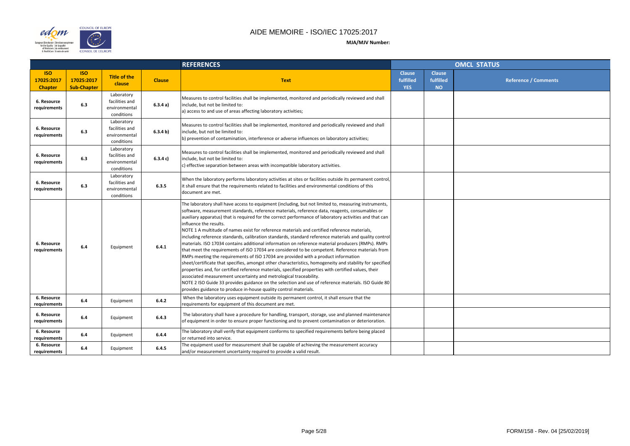

|                    |                                         | <b>OMCL STATUS</b>          |
|--------------------|-----------------------------------------|-----------------------------|
| se<br>ed<br>)<br>J | <b>Clause</b><br>fulfilled<br><b>NO</b> | <b>Reference / Comments</b> |
|                    |                                         |                             |
|                    |                                         |                             |
|                    |                                         |                             |
|                    |                                         |                             |
|                    |                                         |                             |
|                    |                                         |                             |
|                    |                                         |                             |
|                    |                                         |                             |
|                    |                                         |                             |
|                    |                                         |                             |
|                    |                                         |                             |
|                    |                                         |                             |
|                    |                                         |                             |
|                    |                                         |                             |

|                                            |                                                |                                                             |               | <b>REFERENCES</b>                                                                                                                                                                                                                                                                                                                                                                                                                                                                                                                                                                                                                                                                                                                                                                                                                                                                                                                                                                                                                                                                                                                                                                                                                                                                                                        |                                          | <b>OMCL STATUS</b>                      |  |  |
|--------------------------------------------|------------------------------------------------|-------------------------------------------------------------|---------------|--------------------------------------------------------------------------------------------------------------------------------------------------------------------------------------------------------------------------------------------------------------------------------------------------------------------------------------------------------------------------------------------------------------------------------------------------------------------------------------------------------------------------------------------------------------------------------------------------------------------------------------------------------------------------------------------------------------------------------------------------------------------------------------------------------------------------------------------------------------------------------------------------------------------------------------------------------------------------------------------------------------------------------------------------------------------------------------------------------------------------------------------------------------------------------------------------------------------------------------------------------------------------------------------------------------------------|------------------------------------------|-----------------------------------------|--|--|
| <b>ISO</b><br>17025:2017<br><b>Chapter</b> | <b>ISO</b><br>17025:2017<br><b>Sub-Chapter</b> | <b>Title of the</b><br>clause                               | <b>Clause</b> | <b>Text</b>                                                                                                                                                                                                                                                                                                                                                                                                                                                                                                                                                                                                                                                                                                                                                                                                                                                                                                                                                                                                                                                                                                                                                                                                                                                                                                              | <b>Clause</b><br>fulfilled<br><b>YES</b> | <b>Clause</b><br>fulfilled<br><b>NO</b> |  |  |
| 6. Resource<br>requirements                | 6.3                                            | Laboratory<br>facilities and<br>environmental<br>conditions | 6.3.4a)       | Measures to control facilities shall be implemented, monitored and periodically reviewed and shall<br>include, but not be limited to:<br>a) access to and use of areas affecting laboratory activities;                                                                                                                                                                                                                                                                                                                                                                                                                                                                                                                                                                                                                                                                                                                                                                                                                                                                                                                                                                                                                                                                                                                  |                                          |                                         |  |  |
| 6. Resource<br>requirements                | 6.3                                            | Laboratory<br>facilities and<br>environmental<br>conditions | 6.3.4 b)      | Measures to control facilities shall be implemented, monitored and periodically reviewed and shall<br>include, but not be limited to:<br>(b) prevention of contamination, interference or adverse influences on laboratory activities;                                                                                                                                                                                                                                                                                                                                                                                                                                                                                                                                                                                                                                                                                                                                                                                                                                                                                                                                                                                                                                                                                   |                                          |                                         |  |  |
| 6. Resource<br>requirements                | 6.3                                            | Laboratory<br>facilities and<br>environmental<br>conditions | 6.3.4 c)      | Measures to control facilities shall be implemented, monitored and periodically reviewed and shall<br>include, but not be limited to:<br>c) effective separation between areas with incompatible laboratory activities.                                                                                                                                                                                                                                                                                                                                                                                                                                                                                                                                                                                                                                                                                                                                                                                                                                                                                                                                                                                                                                                                                                  |                                          |                                         |  |  |
| 6. Resource<br>requirements                | 6.3                                            | Laboratory<br>facilities and<br>environmental<br>conditions | 6.3.5         | When the laboratory performs laboratory activities at sites or facilities outside its permanent control,<br>it shall ensure that the requirements related to facilities and environmental conditions of this<br>document are met.                                                                                                                                                                                                                                                                                                                                                                                                                                                                                                                                                                                                                                                                                                                                                                                                                                                                                                                                                                                                                                                                                        |                                          |                                         |  |  |
| 6. Resource<br>requirements                | 6.4                                            | Equipment                                                   | 6.4.1         | The laboratory shall have access to equipment (including, but not limited to, measuring instruments,<br>software, measurement standards, reference materials, reference data, reagents, consumables or<br>auxiliary apparatus) that is required for the correct performance of laboratory activities and that can<br>influence the results.<br>NOTE 1 A multitude of names exist for reference materials and certified reference materials,<br>including reference standards, calibration standards, standard reference materials and quality control<br>materials. ISO 17034 contains additional information on reference material producers (RMPs). RMPs<br>that meet the requirements of ISO 17034 are considered to be competent. Reference materials from<br>RMPs meeting the requirements of ISO 17034 are provided with a product information<br>sheet/certificate that specifies, amongst other characteristics, homogeneity and stability for specified<br>properties and, for certified reference materials, specified properties with certified values, their<br>associated measurement uncertainty and metrological traceability.<br>NOTE 2 ISO Guide 33 provides guidance on the selection and use of reference materials. ISO Guide 80<br>provides guidance to produce in-house quality control materials. |                                          |                                         |  |  |
| 6. Resource<br>requirements                | 6.4                                            | Equipment                                                   | 6.4.2         | When the laboratory uses equipment outside its permanent control, it shall ensure that the<br>requirements for equipment of this document are met.                                                                                                                                                                                                                                                                                                                                                                                                                                                                                                                                                                                                                                                                                                                                                                                                                                                                                                                                                                                                                                                                                                                                                                       |                                          |                                         |  |  |
| 6. Resource<br>requirements                | 6.4                                            | Equipment                                                   | 6.4.3         | The laboratory shall have a procedure for handling, transport, storage, use and planned maintenance<br>of equipment in order to ensure proper functioning and to prevent contamination or deterioration.                                                                                                                                                                                                                                                                                                                                                                                                                                                                                                                                                                                                                                                                                                                                                                                                                                                                                                                                                                                                                                                                                                                 |                                          |                                         |  |  |
| 6. Resource<br>requirements                | 6.4                                            | Equipment                                                   | 6.4.4         | The laboratory shall verify that equipment conforms to specified requirements before being placed<br>or returned into service.                                                                                                                                                                                                                                                                                                                                                                                                                                                                                                                                                                                                                                                                                                                                                                                                                                                                                                                                                                                                                                                                                                                                                                                           |                                          |                                         |  |  |
| 6. Resource<br>requirements                | 6.4                                            | Equipment                                                   | 6.4.5         | The equipment used for measurement shall be capable of achieving the measurement accuracy<br>and/or measurement uncertainty required to provide a valid result.                                                                                                                                                                                                                                                                                                                                                                                                                                                                                                                                                                                                                                                                                                                                                                                                                                                                                                                                                                                                                                                                                                                                                          |                                          |                                         |  |  |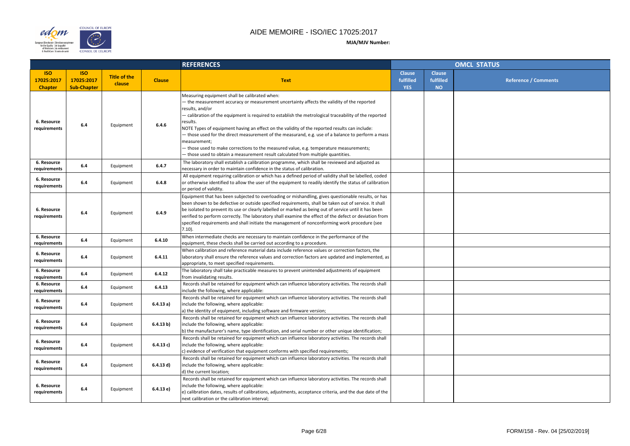

#### COUNCIL OF EUROPE edom  $\sum_{i=1}^{n}$ European Directorate | Direction européen<br>| for the Quality | de la qualité<br>| of Medicines | du médicament<br>| & HealthCare | & soins de santé **CONSEIL DE L'EUROPE**

|                |                                         | <b>OMCL STATUS</b> |                             |
|----------------|-----------------------------------------|--------------------|-----------------------------|
| se<br>ed<br>). | <b>Clause</b><br>fulfilled<br><b>NO</b> |                    | <b>Reference / Comments</b> |
|                |                                         |                    |                             |
|                |                                         |                    |                             |
|                |                                         |                    |                             |
|                |                                         |                    |                             |
|                |                                         |                    |                             |
|                |                                         |                    |                             |
|                |                                         |                    |                             |
|                |                                         |                    |                             |
|                |                                         |                    |                             |
|                |                                         |                    |                             |
|                |                                         |                    |                             |
|                |                                         |                    |                             |
|                |                                         |                    |                             |
|                |                                         |                    |                             |
|                |                                         |                    |                             |
|                |                                         |                    |                             |
|                |                                         |                    |                             |
|                |                                         |                    |                             |
|                |                                         |                    |                             |

|                                            |                                                |                               | <b>REFERENCES</b> |                                                                                                                                                                                                                                                                                                                                                                                                                                                                                                                                                                                                                                                                                       | <b>OMCL STATUS</b>                       |                                         |  |
|--------------------------------------------|------------------------------------------------|-------------------------------|-------------------|---------------------------------------------------------------------------------------------------------------------------------------------------------------------------------------------------------------------------------------------------------------------------------------------------------------------------------------------------------------------------------------------------------------------------------------------------------------------------------------------------------------------------------------------------------------------------------------------------------------------------------------------------------------------------------------|------------------------------------------|-----------------------------------------|--|
| <b>ISO</b><br>17025:2017<br><b>Chapter</b> | <b>ISO</b><br>17025:2017<br><b>Sub-Chapter</b> | <b>Title of the</b><br>clause | <b>Clause</b>     | <b>Text</b>                                                                                                                                                                                                                                                                                                                                                                                                                                                                                                                                                                                                                                                                           | <b>Clause</b><br>fulfilled<br><b>YES</b> | <b>Clause</b><br>fulfilled<br><b>NO</b> |  |
| 6. Resource<br>requirements                | 6.4                                            | Equipment                     | 6.4.6             | Measuring equipment shall be calibrated when:<br>the measurement accuracy or measurement uncertainty affects the validity of the reported<br>results, and/or<br>- calibration of the equipment is required to establish the metrological traceability of the reported<br>results.<br>NOTE Types of equipment having an effect on the validity of the reported results can include:<br>- those used for the direct measurement of the measurand, e.g. use of a balance to perform a mass<br>measurement;<br>- those used to make corrections to the measured value, e.g. temperature measurements;<br>- those used to obtain a measurement result calculated from multiple quantities. |                                          |                                         |  |
| 6. Resource<br>requirements                | 6.4                                            | Equipment                     | 6.4.7             | The laboratory shall establish a calibration programme, which shall be reviewed and adjusted as<br>necessary in order to maintain confidence in the status of calibration.                                                                                                                                                                                                                                                                                                                                                                                                                                                                                                            |                                          |                                         |  |
| 6. Resource<br>requirements                | 6.4                                            | Equipment                     | 6.4.8             | All equipment requiring calibration or which has a defined period of validity shall be labelled, coded<br>or otherwise identified to allow the user of the equipment to readily identify the status of calibration<br>or period of validity.                                                                                                                                                                                                                                                                                                                                                                                                                                          |                                          |                                         |  |
| 6. Resource<br>requirements                | 6.4                                            | Equipment                     | 6.4.9             | Equipment that has been subjected to overloading or mishandling, gives questionable results, or has<br>been shown to be defective or outside specified requirements, shall be taken out of service. It shall<br>be isolated to prevent its use or clearly labelled or marked as being out of service until it has been<br>verified to perform correctly. The laboratory shall examine the effect of the defect or deviation from<br>specified requirements and shall initiate the management of nonconforming work procedure (see<br>$7.10$ ).                                                                                                                                        |                                          |                                         |  |
| 6. Resource<br>requirements                | 6.4                                            | Equipment                     | 6.4.10            | When intermediate checks are necessary to maintain confidence in the performance of the<br>equipment, these checks shall be carried out according to a procedure.                                                                                                                                                                                                                                                                                                                                                                                                                                                                                                                     |                                          |                                         |  |
| 6. Resource<br>requirements                | 6.4                                            | Equipment                     | 6.4.11            | When calibration and reference material data include reference values or correction factors, the<br>laboratory shall ensure the reference values and correction factors are updated and implemented, as<br>appropriate, to meet specified requirements.                                                                                                                                                                                                                                                                                                                                                                                                                               |                                          |                                         |  |
| 6. Resource<br>requirements                | 6.4                                            | Equipment                     | 6.4.12            | The laboratory shall take practicable measures to prevent unintended adjustments of equipment<br>from invalidating results.                                                                                                                                                                                                                                                                                                                                                                                                                                                                                                                                                           |                                          |                                         |  |
| 6. Resource<br>requirements                | 6.4                                            | Equipment                     | 6.4.13            | Records shall be retained for equipment which can influence laboratory activities. The records shall<br>include the following, where applicable:                                                                                                                                                                                                                                                                                                                                                                                                                                                                                                                                      |                                          |                                         |  |
| 6. Resource<br>requirements                | 6.4                                            | Equipment                     | 6.4.13a)          | Records shall be retained for equipment which can influence laboratory activities. The records shall<br>include the following, where applicable:<br>a) the identity of equipment, including software and firmware version;                                                                                                                                                                                                                                                                                                                                                                                                                                                            |                                          |                                         |  |
| 6. Resource<br>requirements                | 6.4                                            | Equipment                     | 6.4.13 b)         | Records shall be retained for equipment which can influence laboratory activities. The records shall<br>include the following, where applicable:<br>(b) the manufacturer's name, type identification, and serial number or other unique identification;                                                                                                                                                                                                                                                                                                                                                                                                                               |                                          |                                         |  |
| 6. Resource<br>requirements                | 6.4                                            | Equipment                     | 6.4.13 c)         | Records shall be retained for equipment which can influence laboratory activities. The records shall<br>include the following, where applicable:<br>c) evidence of verification that equipment conforms with specified requirements;                                                                                                                                                                                                                                                                                                                                                                                                                                                  |                                          |                                         |  |
| 6. Resource<br>requirements                | 6.4                                            | Equipment                     | 6.4.13 d)         | Records shall be retained for equipment which can influence laboratory activities. The records shall<br>include the following, where applicable:<br>d) the current location;                                                                                                                                                                                                                                                                                                                                                                                                                                                                                                          |                                          |                                         |  |
| 6. Resource<br>requirements                | 6.4                                            | Equipment                     | 6.4.13 e)         | Records shall be retained for equipment which can influence laboratory activities. The records shall<br>include the following, where applicable:<br>e) calibration dates, results of calibrations, adjustments, acceptance criteria, and the due date of the<br>next calibration or the calibration interval;                                                                                                                                                                                                                                                                                                                                                                         |                                          |                                         |  |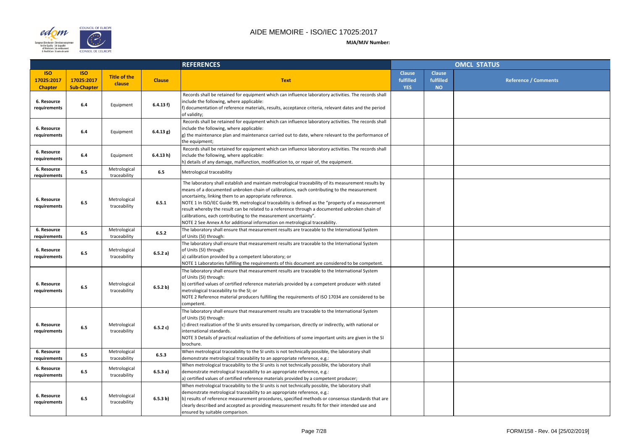

| <b>OMCL STATUS</b> |                                         |                             |  |  |  |  |
|--------------------|-----------------------------------------|-----------------------------|--|--|--|--|
| se<br>ed<br>i.     | <b>Clause</b><br>fulfilled<br><b>NO</b> | <b>Reference / Comments</b> |  |  |  |  |
|                    |                                         |                             |  |  |  |  |
|                    |                                         |                             |  |  |  |  |
|                    |                                         |                             |  |  |  |  |
|                    |                                         |                             |  |  |  |  |
|                    |                                         |                             |  |  |  |  |
|                    |                                         |                             |  |  |  |  |
|                    |                                         |                             |  |  |  |  |
|                    |                                         |                             |  |  |  |  |
|                    |                                         |                             |  |  |  |  |
|                    |                                         |                             |  |  |  |  |
|                    |                                         |                             |  |  |  |  |
|                    |                                         |                             |  |  |  |  |
|                    |                                         |                             |  |  |  |  |
|                    |                                         |                             |  |  |  |  |
|                    |                                         |                             |  |  |  |  |
|                    |                                         |                             |  |  |  |  |
|                    |                                         |                             |  |  |  |  |
|                    |                                         |                             |  |  |  |  |
|                    |                                         |                             |  |  |  |  |

|                                            |                                                |                               | <b>REFERENCES</b> |                                                                                                                                                                                                                                                                                                                                                                                                                                                                                                                                                                                                                        | <b>OMCL STATUS</b>                       |                                         |  |
|--------------------------------------------|------------------------------------------------|-------------------------------|-------------------|------------------------------------------------------------------------------------------------------------------------------------------------------------------------------------------------------------------------------------------------------------------------------------------------------------------------------------------------------------------------------------------------------------------------------------------------------------------------------------------------------------------------------------------------------------------------------------------------------------------------|------------------------------------------|-----------------------------------------|--|
| <b>ISO</b><br>17025:2017<br><b>Chapter</b> | <b>ISO</b><br>17025:2017<br><b>Sub-Chapter</b> | <b>Title of the</b><br>clause | <b>Clause</b>     | <b>Text</b>                                                                                                                                                                                                                                                                                                                                                                                                                                                                                                                                                                                                            | <b>Clause</b><br>fulfilled<br><b>YES</b> | <b>Clause</b><br>fulfilled<br><b>NO</b> |  |
| 6. Resource<br>requirements                | 6.4                                            | Equipment                     | 6.4.13 f          | Records shall be retained for equipment which can influence laboratory activities. The records shall<br>include the following, where applicable:<br>f) documentation of reference materials, results, acceptance criteria, relevant dates and the period<br>of validity;                                                                                                                                                                                                                                                                                                                                               |                                          |                                         |  |
| 6. Resource<br>requirements                | 6.4                                            | Equipment                     | 6.4.13 g)         | Records shall be retained for equipment which can influence laboratory activities. The records shall<br>include the following, where applicable:<br>g) the maintenance plan and maintenance carried out to date, where relevant to the performance of<br>the equipment;                                                                                                                                                                                                                                                                                                                                                |                                          |                                         |  |
| 6. Resource<br>requirements                | 6.4                                            | Equipment                     | 6.4.13 h)         | Records shall be retained for equipment which can influence laboratory activities. The records shall<br>include the following, where applicable:<br>h) details of any damage, malfunction, modification to, or repair of, the equipment.                                                                                                                                                                                                                                                                                                                                                                               |                                          |                                         |  |
| 6. Resource<br>requirements                | 6.5                                            | Metrological<br>traceability  | 6.5               | Metrological traceability                                                                                                                                                                                                                                                                                                                                                                                                                                                                                                                                                                                              |                                          |                                         |  |
| 6. Resource<br>requirements                | 6.5                                            | Metrological<br>traceability  | 6.5.1             | The laboratory shall establish and maintain metrological traceability of its measurement results by<br>means of a documented unbroken chain of calibrations, each contributing to the measurement<br>uncertainty, linking them to an appropriate reference.<br>NOTE 1 In ISO/IEC Guide 99, metrological traceability is defined as the "property of a measurement<br>result whereby the result can be related to a reference through a documented unbroken chain of<br>calibrations, each contributing to the measurement uncertainty".<br>NOTE 2 See Annex A for additional information on metrological traceability. |                                          |                                         |  |
| 6. Resource<br>requirements                | 6.5                                            | Metrological<br>traceability  | 6.5.2             | The laboratory shall ensure that measurement results are traceable to the International System<br>of Units (SI) through:                                                                                                                                                                                                                                                                                                                                                                                                                                                                                               |                                          |                                         |  |
| 6. Resource<br>requirements                | 6.5                                            | Metrological<br>traceability  | 6.5.2 a)          | The laboratory shall ensure that measurement results are traceable to the International System<br>of Units (SI) through:<br>a) calibration provided by a competent laboratory; or<br>NOTE 1 Laboratories fulfilling the requirements of this document are considered to be competent.                                                                                                                                                                                                                                                                                                                                  |                                          |                                         |  |
| 6. Resource<br>requirements                | 6.5                                            | Metrological<br>traceability  | 6.5.2 b)          | The laboratory shall ensure that measurement results are traceable to the International System<br>of Units (SI) through:<br>b) certified values of certified reference materials provided by a competent producer with stated<br>metrological traceability to the SI; or<br>NOTE 2 Reference material producers fulfilling the requirements of ISO 17034 are considered to be<br>competent.                                                                                                                                                                                                                            |                                          |                                         |  |
| 6. Resource<br>requirements                | 6.5                                            | Metrological<br>traceability  | 6.5.2 c)          | The laboratory shall ensure that measurement results are traceable to the International System<br>of Units (SI) through:<br>c) direct realization of the SI units ensured by comparison, directly or indirectly, with national or<br>international standards.<br>NOTE 3 Details of practical realization of the definitions of some important units are given in the SI<br>brochure.                                                                                                                                                                                                                                   |                                          |                                         |  |
| 6. Resource<br>requirements                | 6.5                                            | Metrological<br>traceability  | 6.5.3             | When metrological traceability to the SI units is not technically possible, the laboratory shall<br>demonstrate metrological traceability to an appropriate reference, e.g.:                                                                                                                                                                                                                                                                                                                                                                                                                                           |                                          |                                         |  |
| 6. Resource<br>requirements                | 6.5                                            | Metrological<br>traceability  | 6.5.3a)           | When metrological traceability to the SI units is not technically possible, the laboratory shall<br>demonstrate metrological traceability to an appropriate reference, e.g.:<br>a) certified values of certified reference materials provided by a competent producer;                                                                                                                                                                                                                                                                                                                                                 |                                          |                                         |  |
| 6. Resource<br>requirements                | 6.5                                            | Metrological<br>traceability  | 6.5.3 b)          | When metrological traceability to the SI units is not technically possible, the laboratory shall<br>demonstrate metrological traceability to an appropriate reference, e.g.:<br>b) results of reference measurement procedures, specified methods or consensus standards that are<br>clearly described and accepted as providing measurement results fit for their intended use and<br>ensured by suitable comparison.                                                                                                                                                                                                 |                                          |                                         |  |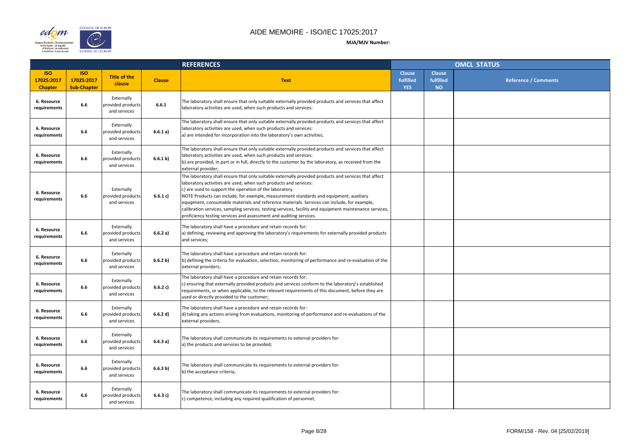

|                |                                         | OMCL STATUS                 |
|----------------|-----------------------------------------|-----------------------------|
| se<br>ed<br>j. | <b>Clause</b><br>fulfilled<br><b>NO</b> | <b>Reference / Comments</b> |
|                |                                         |                             |
|                |                                         |                             |
|                |                                         |                             |
|                |                                         |                             |
|                |                                         |                             |
|                |                                         |                             |
|                |                                         |                             |
|                |                                         |                             |
|                |                                         |                             |
|                |                                         |                             |
|                |                                         |                             |
|                |                                         |                             |
|                |                                         |                             |

|                                            |                                                |                                                 |               | <b>REFERENCES</b>                                                                                                                                                                                                                                                                                                                                                                                                                                                                                                                                                                                             |                                          | <b>OMCL STATUS</b>                      |  |  |
|--------------------------------------------|------------------------------------------------|-------------------------------------------------|---------------|---------------------------------------------------------------------------------------------------------------------------------------------------------------------------------------------------------------------------------------------------------------------------------------------------------------------------------------------------------------------------------------------------------------------------------------------------------------------------------------------------------------------------------------------------------------------------------------------------------------|------------------------------------------|-----------------------------------------|--|--|
| <b>ISO</b><br>17025:2017<br><b>Chapter</b> | <b>ISO</b><br>17025:2017<br><b>Sub-Chapter</b> | <b>Title of the</b><br>clause                   | <b>Clause</b> | <b>Text</b>                                                                                                                                                                                                                                                                                                                                                                                                                                                                                                                                                                                                   | <b>Clause</b><br>fulfilled<br><b>YES</b> | <b>Clause</b><br>fulfilled<br><b>NO</b> |  |  |
| 6. Resource<br>requirements                | 6.6                                            | Externally<br>provided products<br>and services | 6.6.1         | The laboratory shall ensure that only suitable externally provided products and services that affect<br>laboratory activities are used, when such products and services:                                                                                                                                                                                                                                                                                                                                                                                                                                      |                                          |                                         |  |  |
| 6. Resource<br>requirements                | 6.6                                            | Externally<br>provided products<br>and services | 6.6.1 a)      | The laboratory shall ensure that only suitable externally provided products and services that affect<br>laboratory activities are used, when such products and services:<br>a) are intended for incorporation into the laboratory's own activities;                                                                                                                                                                                                                                                                                                                                                           |                                          |                                         |  |  |
| 6. Resource<br>requirements                | 6.6                                            | Externally<br>provided products<br>and services | 6.6.1 b)      | The laboratory shall ensure that only suitable externally provided products and services that affect<br>laboratory activities are used, when such products and services:<br>b) are provided, in part or in full, directly to the customer by the laboratory, as received from the<br>external provider;                                                                                                                                                                                                                                                                                                       |                                          |                                         |  |  |
| 6. Resource<br>requirements                | 6.6                                            | Externally<br>provided products<br>and services | 6.6.1 c)      | The laboratory shall ensure that only suitable externally provided products and services that affect<br>laboratory activities are used, when such products and services:<br>c) are used to support the operation of the laboratory.<br>NOTE Products can include, for example, measurement standards and equipment, auxiliary<br>equipment, consumable materials and reference materials. Services can include, for example,<br>calibration services, sampling services, testing services, facility and equipment maintenance services,<br>proficiency testing services and assessment and auditing services. |                                          |                                         |  |  |
| 6. Resource<br>requirements                | 6.6                                            | Externally<br>provided products<br>and services | 6.6.2 a)      | The laboratory shall have a procedure and retain records for:<br>a) defining, reviewing and approving the laboratory's requirements for externally provided products<br>and services;                                                                                                                                                                                                                                                                                                                                                                                                                         |                                          |                                         |  |  |
| 6. Resource<br>requirements                | 6.6                                            | Externally<br>provided products<br>and services | 6.6.2 b)      | The laboratory shall have a procedure and retain records for:<br>(b) defining the criteria for evaluation, selection, monitoring of performance and re-evaluation of the<br>external providers;                                                                                                                                                                                                                                                                                                                                                                                                               |                                          |                                         |  |  |
| 6. Resource<br>requirements                | 6.6                                            | Externally<br>provided products<br>and services | 6.6.2 c)      | The laboratory shall have a procedure and retain records for:<br>c) ensuring that externally provided products and services conform to the laboratory's established<br>requirements, or when applicable, to the relevant requirements of this document, before they are<br>used or directly provided to the customer;                                                                                                                                                                                                                                                                                         |                                          |                                         |  |  |
| 6. Resource<br>requirements                | 6.6                                            | Externally<br>provided products<br>and services | 6.6.2 d)      | The laboratory shall have a procedure and retain records for:<br>d) taking any actions arising from evaluations, monitoring of performance and re-evaluations of the<br>external providers.                                                                                                                                                                                                                                                                                                                                                                                                                   |                                          |                                         |  |  |
| 6. Resource<br>requirements                | 6.6                                            | Externally<br>provided products<br>and services | 6.6.3a)       | The laboratory shall communicate its requirements to external providers for:<br>a) the products and services to be provided;                                                                                                                                                                                                                                                                                                                                                                                                                                                                                  |                                          |                                         |  |  |
| 6. Resource<br>requirements                | 6.6                                            | Externally<br>provided products<br>and services | 6.6.3 b)      | The laboratory shall communicate its requirements to external providers for:<br>b) the acceptance criteria;                                                                                                                                                                                                                                                                                                                                                                                                                                                                                                   |                                          |                                         |  |  |
| 6. Resource<br>requirements                | 6.6                                            | Externally<br>provided products<br>and services | 6.6.3 c)      | The laboratory shall communicate its requirements to external providers for:<br>c) competence, including any required qualification of personnel;                                                                                                                                                                                                                                                                                                                                                                                                                                                             |                                          |                                         |  |  |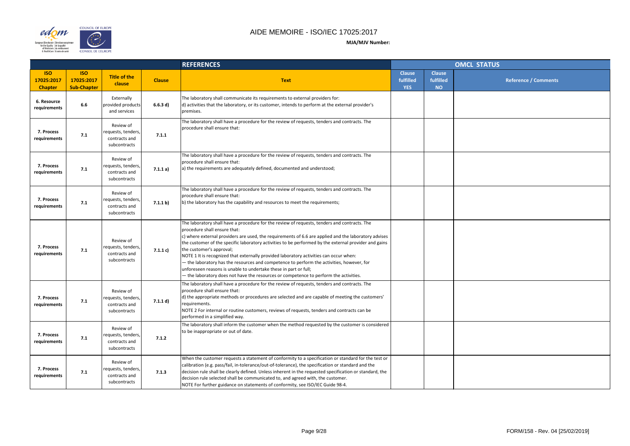

|                |                                         | <b>OMCL STATUS</b>          |
|----------------|-----------------------------------------|-----------------------------|
| se<br>ed<br>i. | <b>Clause</b><br>fulfilled<br><b>NO</b> | <b>Reference / Comments</b> |
|                |                                         |                             |
|                |                                         |                             |
|                |                                         |                             |
|                |                                         |                             |
|                |                                         |                             |
|                |                                         |                             |
|                |                                         |                             |
|                |                                         |                             |
|                |                                         |                             |
|                |                                         |                             |
|                |                                         |                             |
|                |                                         |                             |
|                |                                         |                             |
|                |                                         |                             |
|                |                                         |                             |
|                |                                         |                             |

|                                            |                                                |                                                                  | <b>REFERENCES</b> |                                                                                                                                                                                                                                                                                                                                                                                                                                                                                                                                                                                                                                                                                                                               | <b>OMCL STATUS</b>                       |                                         |  |
|--------------------------------------------|------------------------------------------------|------------------------------------------------------------------|-------------------|-------------------------------------------------------------------------------------------------------------------------------------------------------------------------------------------------------------------------------------------------------------------------------------------------------------------------------------------------------------------------------------------------------------------------------------------------------------------------------------------------------------------------------------------------------------------------------------------------------------------------------------------------------------------------------------------------------------------------------|------------------------------------------|-----------------------------------------|--|
| <b>ISO</b><br>17025:2017<br><b>Chapter</b> | <b>ISO</b><br>17025:2017<br><b>Sub-Chapter</b> | <b>Title of the</b><br>clause                                    | <b>Clause</b>     | <b>Text</b>                                                                                                                                                                                                                                                                                                                                                                                                                                                                                                                                                                                                                                                                                                                   | <b>Clause</b><br>fulfilled<br><b>YES</b> | <b>Clause</b><br>fulfilled<br><b>NO</b> |  |
| 6. Resource<br>requirements                | 6.6                                            | Externally<br>provided products<br>and services                  | 6.6.3 d)          | The laboratory shall communicate its requirements to external providers for:<br>d) activities that the laboratory, or its customer, intends to perform at the external provider's<br>premises.                                                                                                                                                                                                                                                                                                                                                                                                                                                                                                                                |                                          |                                         |  |
| 7. Process<br>requirements                 | 7.1                                            | Review of<br>requests, tenders,<br>contracts and<br>subcontracts | 7.1.1             | The laboratory shall have a procedure for the review of requests, tenders and contracts. The<br>procedure shall ensure that:                                                                                                                                                                                                                                                                                                                                                                                                                                                                                                                                                                                                  |                                          |                                         |  |
| 7. Process<br>requirements                 | 7.1                                            | Review of<br>requests, tenders,<br>contracts and<br>subcontracts | 7.1.1 a)          | The laboratory shall have a procedure for the review of requests, tenders and contracts. The<br>procedure shall ensure that:<br>a) the requirements are adequately defined, documented and understood;                                                                                                                                                                                                                                                                                                                                                                                                                                                                                                                        |                                          |                                         |  |
| 7. Process<br>requirements                 | 7.1                                            | Review of<br>requests, tenders,<br>contracts and<br>subcontracts | 7.1.1 b)          | The laboratory shall have a procedure for the review of requests, tenders and contracts. The<br>procedure shall ensure that:<br>(b) the laboratory has the capability and resources to meet the requirements;                                                                                                                                                                                                                                                                                                                                                                                                                                                                                                                 |                                          |                                         |  |
| 7. Process<br>requirements                 | 7.1                                            | Review of<br>requests, tenders,<br>contracts and<br>subcontracts | 7.1.1 c)          | The laboratory shall have a procedure for the review of requests, tenders and contracts. The<br>procedure shall ensure that:<br>c) where external providers are used, the requirements of 6.6 are applied and the laboratory advises<br>the customer of the specific laboratory activities to be performed by the external provider and gains<br>the customer's approval;<br>NOTE 1 It is recognized that externally provided laboratory activities can occur when:<br>- the laboratory has the resources and competence to perform the activities, however, for<br>unforeseen reasons is unable to undertake these in part or full;<br>- the laboratory does not have the resources or competence to perform the activities. |                                          |                                         |  |
| 7. Process<br>requirements                 | 7.1                                            | Review of<br>requests, tenders,<br>contracts and<br>subcontracts | 7.1.1 d)          | The laboratory shall have a procedure for the review of requests, tenders and contracts. The<br>procedure shall ensure that:<br>d) the appropriate methods or procedures are selected and are capable of meeting the customers'<br>requirements.<br>NOTE 2 For internal or routine customers, reviews of requests, tenders and contracts can be<br>performed in a simplified way.                                                                                                                                                                                                                                                                                                                                             |                                          |                                         |  |
| 7. Process<br>requirements                 | 7.1                                            | Review of<br>requests, tenders,<br>contracts and<br>subcontracts | 7.1.2             | The laboratory shall inform the customer when the method requested by the customer is considered<br>to be inappropriate or out of date.                                                                                                                                                                                                                                                                                                                                                                                                                                                                                                                                                                                       |                                          |                                         |  |
| 7. Process<br>requirements                 | 7.1                                            | Review of<br>requests, tenders,<br>contracts and<br>subcontracts | 7.1.3             | When the customer requests a statement of conformity to a specification or standard for the test or<br>calibration (e.g. pass/fail, in-tolerance/out-of-tolerance), the specification or standard and the<br>decision rule shall be clearly defined. Unless inherent in the requested specification or standard, the<br>decision rule selected shall be communicated to, and agreed with, the customer.<br>NOTE For further guidance on statements of conformity, see ISO/IEC Guide 98-4.                                                                                                                                                                                                                                     |                                          |                                         |  |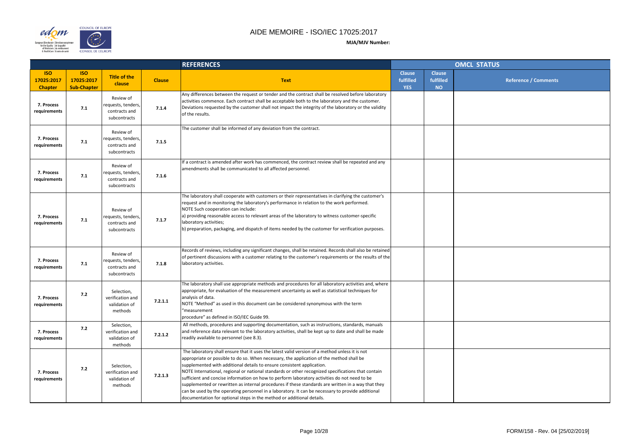

|                |                                         | <b>OMCL STATUS</b>          |
|----------------|-----------------------------------------|-----------------------------|
| se<br>ed<br>i. | <b>Clause</b><br>fulfilled<br><b>NO</b> | <b>Reference / Comments</b> |
|                |                                         |                             |
|                |                                         |                             |
|                |                                         |                             |
|                |                                         |                             |
|                |                                         |                             |
|                |                                         |                             |
|                |                                         |                             |
|                |                                         |                             |
|                |                                         |                             |
|                |                                         |                             |
|                |                                         |                             |
|                |                                         |                             |
|                |                                         |                             |
|                |                                         |                             |
|                |                                         |                             |
|                |                                         |                             |
|                |                                         |                             |
|                |                                         |                             |

|                                            |                                                |                                                                  | <b>REFERENCES</b> |                                                                                                                                                                                                                                                                                                                                                                                                                                                                                                                                                                                                                                                                                                                                                                | <b>OMCL STATUS</b>                       |                                         |  |
|--------------------------------------------|------------------------------------------------|------------------------------------------------------------------|-------------------|----------------------------------------------------------------------------------------------------------------------------------------------------------------------------------------------------------------------------------------------------------------------------------------------------------------------------------------------------------------------------------------------------------------------------------------------------------------------------------------------------------------------------------------------------------------------------------------------------------------------------------------------------------------------------------------------------------------------------------------------------------------|------------------------------------------|-----------------------------------------|--|
| <b>ISO</b><br>17025:2017<br><b>Chapter</b> | <b>ISO</b><br>17025:2017<br><b>Sub-Chapter</b> | <b>Title of the</b><br>clause                                    | <b>Clause</b>     | <b>Text</b>                                                                                                                                                                                                                                                                                                                                                                                                                                                                                                                                                                                                                                                                                                                                                    | <b>Clause</b><br>fulfilled<br><b>YES</b> | <b>Clause</b><br>fulfilled<br><b>NO</b> |  |
| 7. Process<br>requirements                 | 7.1                                            | Review of<br>requests, tenders,<br>contracts and<br>subcontracts | 7.1.4             | Any differences between the request or tender and the contract shall be resolved before laboratory<br>activities commence. Each contract shall be acceptable both to the laboratory and the customer.<br>Deviations requested by the customer shall not impact the integrity of the laboratory or the validity<br>of the results.                                                                                                                                                                                                                                                                                                                                                                                                                              |                                          |                                         |  |
| 7. Process<br>requirements                 | 7.1                                            | Review of<br>requests, tenders,<br>contracts and<br>subcontracts | 7.1.5             | The customer shall be informed of any deviation from the contract.                                                                                                                                                                                                                                                                                                                                                                                                                                                                                                                                                                                                                                                                                             |                                          |                                         |  |
| 7. Process<br>requirements                 | 7.1                                            | Review of<br>requests, tenders,<br>contracts and<br>subcontracts | 7.1.6             | If a contract is amended after work has commenced, the contract review shall be repeated and any<br>amendments shall be communicated to all affected personnel.                                                                                                                                                                                                                                                                                                                                                                                                                                                                                                                                                                                                |                                          |                                         |  |
| 7. Process<br>requirements                 | 7.1                                            | Review of<br>requests, tenders,<br>contracts and<br>subcontracts | 7.1.7             | The laboratory shall cooperate with customers or their representatives in clarifying the customer's<br>request and in monitoring the laboratory's performance in relation to the work performed.<br>NOTE Such cooperation can include:<br>a) providing reasonable access to relevant areas of the laboratory to witness customer-specific<br>laboratory activities;<br>b) preparation, packaging, and dispatch of items needed by the customer for verification purposes.                                                                                                                                                                                                                                                                                      |                                          |                                         |  |
| 7. Process<br>requirements                 | 7.1                                            | Review of<br>requests, tenders,<br>contracts and<br>subcontracts | 7.1.8             | Records of reviews, including any significant changes, shall be retained. Records shall also be retained<br>of pertinent discussions with a customer relating to the customer's requirements or the results of the<br>laboratory activities.                                                                                                                                                                                                                                                                                                                                                                                                                                                                                                                   |                                          |                                         |  |
| 7. Process<br>requirements                 | 7.2                                            | Selection,<br>verification and<br>validation of<br>methods       | 7.2.1.1           | The laboratory shall use appropriate methods and procedures for all laboratory activities and, where<br>appropriate, for evaluation of the measurement uncertainty as well as statistical techniques for<br>analysis of data.<br>NOTE "Method" as used in this document can be considered synonymous with the term<br>"measurement<br>procedure" as defined in ISO/IEC Guide 99.                                                                                                                                                                                                                                                                                                                                                                               |                                          |                                         |  |
| 7. Process<br>requirements                 | 7.2                                            | Selection,<br>verification and<br>validation of<br>methods       | 7.2.1.2           | All methods, procedures and supporting documentation, such as instructions, standards, manuals<br>and reference data relevant to the laboratory activities, shall be kept up to date and shall be made<br>readily available to personnel (see 8.3).                                                                                                                                                                                                                                                                                                                                                                                                                                                                                                            |                                          |                                         |  |
| 7. Process<br>requirements                 | 7.2                                            | Selection,<br>verification and<br>validation of<br>methods       | 7.2.1.3           | The laboratory shall ensure that it uses the latest valid version of a method unless it is not<br>appropriate or possible to do so. When necessary, the application of the method shall be<br>supplemented with additional details to ensure consistent application.<br>NOTE International, regional or national standards or other recognized specifications that contain<br>sufficient and concise information on how to perform laboratory activities do not need to be<br>supplemented or rewritten as internal procedures if these standards are written in a way that they<br>can be used by the operating personnel in a laboratory. It can be necessary to provide additional<br>documentation for optional steps in the method or additional details. |                                          |                                         |  |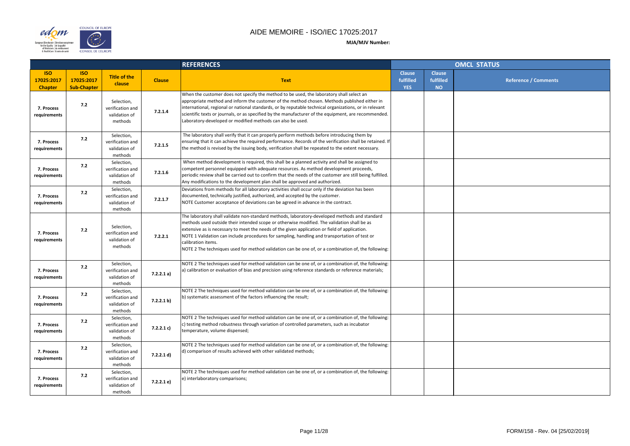

|                    |                                         | <b>OMCL STATUS</b>          |
|--------------------|-----------------------------------------|-----------------------------|
| se<br>ed<br>i<br>D | <b>Clause</b><br>fulfilled<br><b>NO</b> | <b>Reference / Comments</b> |
|                    |                                         |                             |
|                    |                                         |                             |
|                    |                                         |                             |
|                    |                                         |                             |
|                    |                                         |                             |
|                    |                                         |                             |
|                    |                                         |                             |
|                    |                                         |                             |
|                    |                                         |                             |
|                    |                                         |                             |
|                    |                                         |                             |
|                    |                                         |                             |

|                                            |                                                |                                                            |               | <b>REFERENCES</b>                                                                                                                                                                                                                                                                                                                                                                                                                                                                                                           |                                          | <b>OMCL STATUS</b>                      |  |  |
|--------------------------------------------|------------------------------------------------|------------------------------------------------------------|---------------|-----------------------------------------------------------------------------------------------------------------------------------------------------------------------------------------------------------------------------------------------------------------------------------------------------------------------------------------------------------------------------------------------------------------------------------------------------------------------------------------------------------------------------|------------------------------------------|-----------------------------------------|--|--|
| <b>ISO</b><br>17025:2017<br><b>Chapter</b> | <b>ISO</b><br>17025:2017<br><b>Sub-Chapter</b> | <b>Title of the</b><br>clause                              | <b>Clause</b> | <b>Text</b>                                                                                                                                                                                                                                                                                                                                                                                                                                                                                                                 | <b>Clause</b><br>fulfilled<br><b>YES</b> | <b>Clause</b><br>fulfilled<br><b>NO</b> |  |  |
| 7. Process<br>requirements                 | 7.2                                            | Selection,<br>verification and<br>validation of<br>methods | 7.2.1.4       | When the customer does not specify the method to be used, the laboratory shall select an<br>appropriate method and inform the customer of the method chosen. Methods published either in<br>international, regional or national standards, or by reputable technical organizations, or in relevant<br>scientific texts or journals, or as specified by the manufacturer of the equipment, are recommended.<br>Laboratory-developed or modified methods can also be used.                                                    |                                          |                                         |  |  |
| 7. Process<br>requirements                 | 7.2                                            | Selection,<br>verification and<br>validation of<br>methods | 7.2.1.5       | The laboratory shall verify that it can properly perform methods before introducing them by<br>ensuring that it can achieve the required performance. Records of the verification shall be retained. If<br>the method is revised by the issuing body, verification shall be repeated to the extent necessary.                                                                                                                                                                                                               |                                          |                                         |  |  |
| 7. Process<br>requirements                 | 7.2                                            | Selection,<br>verification and<br>validation of<br>methods | 7.2.1.6       | When method development is required, this shall be a planned activity and shall be assigned to<br>competent personnel equipped with adequate resources. As method development proceeds,<br>periodic review shall be carried out to confirm that the needs of the customer are still being fulfilled.<br>Any modifications to the development plan shall be approved and authorized.                                                                                                                                         |                                          |                                         |  |  |
| 7. Process<br>requirements                 | 7.2                                            | Selection,<br>verification and<br>validation of<br>methods | 7.2.1.7       | Deviations from methods for all laboratory activities shall occur only if the deviation has been<br>documented, technically justified, authorized, and accepted by the customer.<br>NOTE Customer acceptance of deviations can be agreed in advance in the contract.                                                                                                                                                                                                                                                        |                                          |                                         |  |  |
| 7. Process<br>requirements                 | 7.2                                            | Selection,<br>verification and<br>validation of<br>methods | 7.2.2.1       | The laboratory shall validate non-standard methods, laboratory-developed methods and standard<br>methods used outside their intended scope or otherwise modified. The validation shall be as<br>extensive as is necessary to meet the needs of the given application or field of application.<br>NOTE 1 Validation can include procedures for sampling, handling and transportation of test or<br>calibration items.<br>NOTE 2 The techniques used for method validation can be one of, or a combination of, the following: |                                          |                                         |  |  |
| 7. Process<br>requirements                 | 7.2                                            | Selection,<br>verification and<br>validation of<br>methods | 7.2.2.1 a)    | NOTE 2 The techniques used for method validation can be one of, or a combination of, the following:<br>a) calibration or evaluation of bias and precision using reference standards or reference materials;                                                                                                                                                                                                                                                                                                                 |                                          |                                         |  |  |
| 7. Process<br>requirements                 | 7.2                                            | Selection,<br>verification and<br>validation of<br>methods | 7.2.2.1 b)    | NOTE 2 The techniques used for method validation can be one of, or a combination of, the following:<br>(b) systematic assessment of the factors influencing the result;                                                                                                                                                                                                                                                                                                                                                     |                                          |                                         |  |  |
| 7. Process<br>requirements                 | 7.2                                            | Selection,<br>verification and<br>validation of<br>methods | 7.2.2.1 c)    | NOTE 2 The techniques used for method validation can be one of, or a combination of, the following:<br>c) testing method robustness through variation of controlled parameters, such as incubator<br>temperature, volume dispensed;                                                                                                                                                                                                                                                                                         |                                          |                                         |  |  |
| 7. Process<br>requirements                 | 7.2                                            | Selection,<br>verification and<br>validation of<br>methods | 7.2.2.1 d)    | NOTE 2 The techniques used for method validation can be one of, or a combination of, the following:<br>d) comparison of results achieved with other validated methods;                                                                                                                                                                                                                                                                                                                                                      |                                          |                                         |  |  |
| 7. Process<br>requirements                 | 7.2                                            | Selection,<br>verification and<br>validation of<br>methods | 7.2.2.1 e)    | NOTE 2 The techniques used for method validation can be one of, or a combination of, the following:<br>e) interlaboratory comparisons;                                                                                                                                                                                                                                                                                                                                                                                      |                                          |                                         |  |  |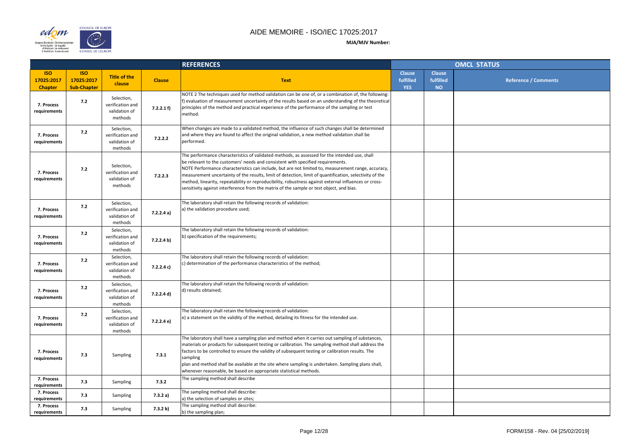

|                |                                         | <b>OMCL STATUS</b>          |
|----------------|-----------------------------------------|-----------------------------|
| se<br>ed<br>i. | <b>Clause</b><br>fulfilled<br><b>NO</b> | <b>Reference / Comments</b> |
|                |                                         |                             |
|                |                                         |                             |
|                |                                         |                             |
|                |                                         |                             |
|                |                                         |                             |
|                |                                         |                             |
|                |                                         |                             |
|                |                                         |                             |
|                |                                         |                             |
|                |                                         |                             |
|                |                                         |                             |
|                |                                         |                             |
|                |                                         |                             |
|                |                                         |                             |
|                |                                         |                             |
|                |                                         |                             |
|                |                                         |                             |
|                |                                         |                             |
|                |                                         |                             |
|                |                                         |                             |

|                                            |                                                |                                                            |               | <b>REFERENCES</b>                                                                                                                                                                                                                                                                                                                                                                                                                                                                                                                                                                                      |                                          |                                         | <b>OMCL STATUS</b> |
|--------------------------------------------|------------------------------------------------|------------------------------------------------------------|---------------|--------------------------------------------------------------------------------------------------------------------------------------------------------------------------------------------------------------------------------------------------------------------------------------------------------------------------------------------------------------------------------------------------------------------------------------------------------------------------------------------------------------------------------------------------------------------------------------------------------|------------------------------------------|-----------------------------------------|--------------------|
| <b>ISO</b><br>17025:2017<br><b>Chapter</b> | <b>ISO</b><br>17025:2017<br><b>Sub-Chapter</b> | <b>Title of the</b><br>clause                              | <b>Clause</b> | <b>Text</b>                                                                                                                                                                                                                                                                                                                                                                                                                                                                                                                                                                                            | <b>Clause</b><br>fulfilled<br><b>YES</b> | <b>Clause</b><br>fulfilled<br><b>NO</b> |                    |
| 7. Process<br>requirements                 | 7.2                                            | Selection,<br>verification and<br>validation of<br>methods | 7.2.2.1 f)    | NOTE 2 The techniques used for method validation can be one of, or a combination of, the following:<br>f) evaluation of measurement uncertainty of the results based on an understanding of the theoretical<br>principles of the method and practical experience of the performance of the sampling or test<br>method.                                                                                                                                                                                                                                                                                 |                                          |                                         |                    |
| 7. Process<br>requirements                 | 7.2                                            | Selection,<br>verification and<br>validation of<br>methods | 7.2.2.2       | When changes are made to a validated method, the influence of such changes shall be determined<br>and where they are found to affect the original validation, a new method validation shall be<br>performed.                                                                                                                                                                                                                                                                                                                                                                                           |                                          |                                         |                    |
| 7. Process<br>requirements                 | 7.2                                            | Selection,<br>verification and<br>validation of<br>methods | 7.2.2.3       | The performance characteristics of validated methods, as assessed for the intended use, shall<br>be relevant to the customers' needs and consistent with specified requirements.<br>NOTE Performance characteristics can include, but are not limited to, measurement range, accuracy,<br>measurement uncertainty of the results, limit of detection, limit of quantification, selectivity of the<br>method, linearity, repeatability or reproducibility, robustness against external influences or cross-<br>sensitivity against interference from the matrix of the sample or test object, and bias. |                                          |                                         |                    |
| 7. Process<br>requirements                 | 7.2                                            | Selection,<br>verification and<br>validation of<br>methods | 7.2.2.4 a)    | The laboratory shall retain the following records of validation:<br>a) the validation procedure used;                                                                                                                                                                                                                                                                                                                                                                                                                                                                                                  |                                          |                                         |                    |
| 7. Process<br>requirements                 | 7.2                                            | Selection,<br>verification and<br>validation of<br>methods | 7.2.2.4 b)    | The laboratory shall retain the following records of validation:<br>b) specification of the requirements;                                                                                                                                                                                                                                                                                                                                                                                                                                                                                              |                                          |                                         |                    |
| 7. Process<br>requirements                 | 7.2                                            | Selection,<br>verification and<br>validation of<br>methods | 7.2.2.4 c)    | The laboratory shall retain the following records of validation:<br>c) determination of the performance characteristics of the method;                                                                                                                                                                                                                                                                                                                                                                                                                                                                 |                                          |                                         |                    |
| 7. Process<br>requirements                 | 7.2                                            | Selection,<br>verification and<br>validation of<br>methods | 7.2.2.4 d)    | The laboratory shall retain the following records of validation:<br>d) results obtained;                                                                                                                                                                                                                                                                                                                                                                                                                                                                                                               |                                          |                                         |                    |
| 7. Process<br>requirements                 | 7.2                                            | Selection,<br>verification and<br>validation of<br>methods | 7.2.2.4 e)    | The laboratory shall retain the following records of validation:<br>$ e\rangle$ a statement on the validity of the method, detailing its fitness for the intended use.                                                                                                                                                                                                                                                                                                                                                                                                                                 |                                          |                                         |                    |
| 7. Process<br>requirements                 | 7.3                                            | <b>Sampling</b>                                            | 7.3.1         | The laboratory shall have a sampling plan and method when it carries out sampling of substances,<br>materials or products for subsequent testing or calibration. The sampling method shall address the<br>factors to be controlled to ensure the validity of subsequent testing or calibration results. The<br>sampling<br>plan and method shall be available at the site where sampling is undertaken. Sampling plans shall,<br>whenever reasonable, be based on appropriate statistical methods.                                                                                                     |                                          |                                         |                    |
| 7. Process<br>requirements                 | 7.3                                            | Sampling                                                   | 7.3.2         | The sampling method shall describe                                                                                                                                                                                                                                                                                                                                                                                                                                                                                                                                                                     |                                          |                                         |                    |
| 7. Process<br>requirements                 | 7.3                                            | Sampling                                                   | 7.3.2 a)      | The sampling method shall describe:<br>a) the selection of samples or sites;                                                                                                                                                                                                                                                                                                                                                                                                                                                                                                                           |                                          |                                         |                    |
| 7. Process<br>requirements                 | 7.3                                            | Sampling                                                   | 7.3.2 b)      | The sampling method shall describe:<br>b) the sampling plan;                                                                                                                                                                                                                                                                                                                                                                                                                                                                                                                                           |                                          |                                         |                    |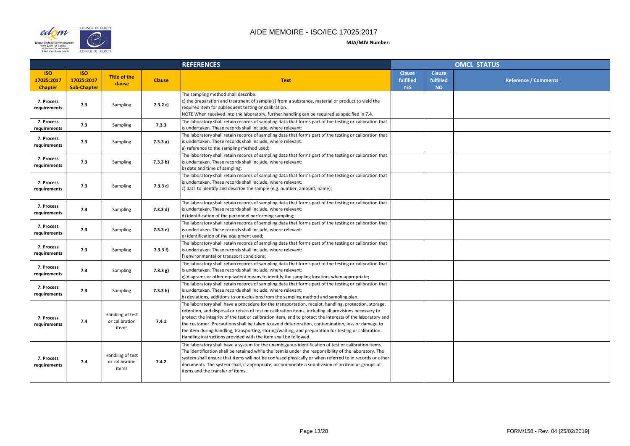

|                |                                         | <b>OMCL STATUS</b> |                      |
|----------------|-----------------------------------------|--------------------|----------------------|
| se<br>ed<br>). | <b>Clause</b><br>fulfilled<br><b>NO</b> |                    | Reference / Comments |
|                |                                         |                    |                      |
|                |                                         |                    |                      |
|                |                                         |                    |                      |
|                |                                         |                    |                      |
|                |                                         |                    |                      |
|                |                                         |                    |                      |
|                |                                         |                    |                      |
|                |                                         |                    |                      |
|                |                                         |                    |                      |
|                |                                         |                    |                      |
|                |                                         |                    |                      |
|                |                                         |                    |                      |
|                |                                         |                    |                      |
|                |                                         |                    |                      |
|                |                                         |                    |                      |

|                                            |                                                |                                             |               | <b>REFERENCES</b>                                                                                                                                                                                                                                                                                                                                                                                                                                                                                                                                                                                           |                                          | <b>OMCL STATUS</b>                      |  |  |
|--------------------------------------------|------------------------------------------------|---------------------------------------------|---------------|-------------------------------------------------------------------------------------------------------------------------------------------------------------------------------------------------------------------------------------------------------------------------------------------------------------------------------------------------------------------------------------------------------------------------------------------------------------------------------------------------------------------------------------------------------------------------------------------------------------|------------------------------------------|-----------------------------------------|--|--|
| <b>ISO</b><br>17025:2017<br><b>Chapter</b> | <b>ISO</b><br>17025:2017<br><b>Sub-Chapter</b> | <b>Title of the</b><br>clause               | <b>Clause</b> | <b>Text</b>                                                                                                                                                                                                                                                                                                                                                                                                                                                                                                                                                                                                 | <b>Clause</b><br>fulfilled<br><b>YES</b> | <b>Clause</b><br>fulfilled<br><b>NO</b> |  |  |
| 7. Process<br>requirements                 | 7.3                                            | Sampling                                    | 7.3.2 c)      | The sampling method shall describe:<br>c) the preparation and treatment of sample(s) from a substance, material or product to yield the<br>required item for subsequent testing or calibration.<br>NOTE When received into the laboratory, further handling can be required as specified in 7.4.                                                                                                                                                                                                                                                                                                            |                                          |                                         |  |  |
| 7. Process<br>requirements                 | 7.3                                            | Sampling                                    | 7.3.3         | The laboratory shall retain records of sampling data that forms part of the testing or calibration that<br>is undertaken. These records shall include, where relevant:                                                                                                                                                                                                                                                                                                                                                                                                                                      |                                          |                                         |  |  |
| 7. Process<br>requirements                 | 7.3                                            | Sampling                                    | 7.3.3 a)      | The laboratory shall retain records of sampling data that forms part of the testing or calibration that<br>is undertaken. These records shall include, where relevant:<br>a) reference to the sampling method used;                                                                                                                                                                                                                                                                                                                                                                                         |                                          |                                         |  |  |
| 7. Process<br>requirements                 | 7.3                                            | Sampling                                    | 7.3.3 b)      | The laboratory shall retain records of sampling data that forms part of the testing or calibration that<br>is undertaken. These records shall include, where relevant:<br>b) date and time of sampling;                                                                                                                                                                                                                                                                                                                                                                                                     |                                          |                                         |  |  |
| 7. Process<br>requirements                 | 7.3                                            | Sampling                                    | 7.3.3 c)      | The laboratory shall retain records of sampling data that forms part of the testing or calibration that<br>is undertaken. These records shall include, where relevant:<br>c) data to identify and describe the sample (e.g. number, amount, name);                                                                                                                                                                                                                                                                                                                                                          |                                          |                                         |  |  |
| 7. Process<br>requirements                 | 7.3                                            | Sampling                                    | 7.3.3 d)      | The laboratory shall retain records of sampling data that forms part of the testing or calibration that<br>is undertaken. These records shall include, where relevant:<br>d) identification of the personnel performing sampling;                                                                                                                                                                                                                                                                                                                                                                           |                                          |                                         |  |  |
| 7. Process<br>requirements                 | 7.3                                            | Sampling                                    | 7.3.3 e)      | The laboratory shall retain records of sampling data that forms part of the testing or calibration that<br>is undertaken. These records shall include, where relevant:<br>e) identification of the equipment used;                                                                                                                                                                                                                                                                                                                                                                                          |                                          |                                         |  |  |
| 7. Process<br>requirements                 | 7.3                                            | <b>Sampling</b>                             | 7.3.3 f)      | The laboratory shall retain records of sampling data that forms part of the testing or calibration that<br>is undertaken. These records shall include, where relevant:<br>f) environmental or transport conditions;                                                                                                                                                                                                                                                                                                                                                                                         |                                          |                                         |  |  |
| 7. Process<br>requirements                 | 7.3                                            | Sampling                                    | 7.3.3 g)      | The laboratory shall retain records of sampling data that forms part of the testing or calibration that<br>is undertaken. These records shall include, where relevant:<br>$ g $ diagrams or other equivalent means to identify the sampling location, when appropriate;                                                                                                                                                                                                                                                                                                                                     |                                          |                                         |  |  |
| 7. Process<br>requirements                 | 7.3                                            | Sampling                                    | 7.3.3 h)      | The laboratory shall retain records of sampling data that forms part of the testing or calibration that<br>is undertaken. These records shall include, where relevant:<br>h) deviations, additions to or exclusions from the sampling method and sampling plan.                                                                                                                                                                                                                                                                                                                                             |                                          |                                         |  |  |
| 7. Process<br>requirements                 | 7.4                                            | Handling of test<br>or calibration<br>items | 7.4.1         | The laboratory shall have a procedure for the transportation, receipt, handling, protection, storage,<br>retention, and disposal or return of test or calibration items, including all provisions necessary to<br>protect the integrity of the test or calibration item, and to protect the interests of the laboratory and<br>the customer. Precautions shall be taken to avoid deterioration, contamination, loss or damage to<br>the item during handling, transporting, storing/waiting, and preparation for testing or calibration.<br>Handling instructions provided with the item shall be followed. |                                          |                                         |  |  |
| 7. Process<br>requirements                 | 7.4                                            | Handling of test<br>or calibration<br>items | 7.4.2         | The laboratory shall have a system for the unambiguous identification of test or calibration items.<br>The identification shall be retained while the item is under the responsibility of the laboratory. The<br>system shall ensure that items will not be confused physically or when referred to in records or other<br>documents. The system shall, if appropriate, accommodate a sub-division of an item or groups of<br>items and the transfer of items.                                                                                                                                              |                                          |                                         |  |  |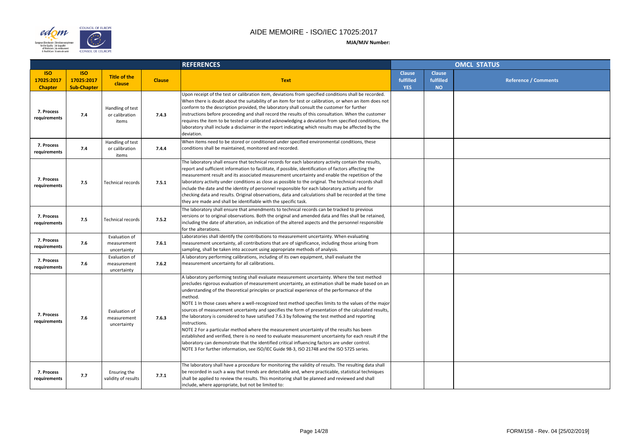



|                |                                         | <b>OMCL STATUS</b> |                             |  |
|----------------|-----------------------------------------|--------------------|-----------------------------|--|
| se<br>ed<br>i. | <b>Clause</b><br>fulfilled<br><b>NO</b> |                    | <b>Reference / Comments</b> |  |
|                |                                         |                    |                             |  |
|                |                                         |                    |                             |  |
|                |                                         |                    |                             |  |
|                |                                         |                    |                             |  |
|                |                                         |                    |                             |  |
|                |                                         |                    |                             |  |
|                |                                         |                    |                             |  |
|                |                                         |                    |                             |  |
|                |                                         |                    |                             |  |
|                |                                         |                    |                             |  |
|                |                                         |                    |                             |  |
|                |                                         |                    |                             |  |
|                |                                         |                    |                             |  |
|                |                                         |                    |                             |  |
|                |                                         |                    |                             |  |
|                |                                         |                    |                             |  |
|                |                                         |                    |                             |  |
|                |                                         |                    |                             |  |

|                                            |                                                |                                             |               | <b>REFERENCES</b>                                                                                                                                                                                                                                                                                                                                                                                                                                                                                                                                                                                                                                                                                                                                                                                                                                                                                                                                                                                                                                         |                                          |                                         | <b>OMCL STATUS</b> |
|--------------------------------------------|------------------------------------------------|---------------------------------------------|---------------|-----------------------------------------------------------------------------------------------------------------------------------------------------------------------------------------------------------------------------------------------------------------------------------------------------------------------------------------------------------------------------------------------------------------------------------------------------------------------------------------------------------------------------------------------------------------------------------------------------------------------------------------------------------------------------------------------------------------------------------------------------------------------------------------------------------------------------------------------------------------------------------------------------------------------------------------------------------------------------------------------------------------------------------------------------------|------------------------------------------|-----------------------------------------|--------------------|
| <b>ISO</b><br>17025:2017<br><b>Chapter</b> | <b>ISO</b><br>17025:2017<br><b>Sub-Chapter</b> | <b>Title of the</b><br>clause               | <b>Clause</b> | <b>Text</b>                                                                                                                                                                                                                                                                                                                                                                                                                                                                                                                                                                                                                                                                                                                                                                                                                                                                                                                                                                                                                                               | <b>Clause</b><br>fulfilled<br><b>YES</b> | <b>Clause</b><br>fulfilled<br><b>NO</b> |                    |
| 7. Process<br>requirements                 | 7.4                                            | Handling of test<br>or calibration<br>items | 7.4.3         | Upon receipt of the test or calibration item, deviations from specified conditions shall be recorded.<br>When there is doubt about the suitability of an item for test or calibration, or when an item does not<br>conform to the description provided, the laboratory shall consult the customer for further<br>instructions before proceeding and shall record the results of this consultation. When the customer<br>requires the item to be tested or calibrated acknowledging a deviation from specified conditions, the<br>laboratory shall include a disclaimer in the report indicating which results may be affected by the<br>deviation.                                                                                                                                                                                                                                                                                                                                                                                                        |                                          |                                         |                    |
| 7. Process<br>requirements                 | 7.4                                            | Handling of test<br>or calibration<br>items | 7.4.4         | When items need to be stored or conditioned under specified environmental conditions, these<br>conditions shall be maintained, monitored and recorded.                                                                                                                                                                                                                                                                                                                                                                                                                                                                                                                                                                                                                                                                                                                                                                                                                                                                                                    |                                          |                                         |                    |
| 7. Process<br>requirements                 | 7.5                                            | <b>Technical records</b>                    | 7.5.1         | The laboratory shall ensure that technical records for each laboratory activity contain the results,<br>report and sufficient information to facilitate, if possible, identification of factors affecting the<br>measurement result and its associated measurement uncertainty and enable the repetition of the<br>laboratory activity under conditions as close as possible to the original. The technical records shall<br>include the date and the identity of personnel responsible for each laboratory activity and for<br>checking data and results. Original observations, data and calculations shall be recorded at the time<br>they are made and shall be identifiable with the specific task.                                                                                                                                                                                                                                                                                                                                                  |                                          |                                         |                    |
| 7. Process<br>requirements                 | 7.5                                            | <b>Technical records</b>                    | 7.5.2         | The laboratory shall ensure that amendments to technical records can be tracked to previous<br>versions or to original observations. Both the original and amended data and files shall be retained,<br>including the date of alteration, an indication of the altered aspects and the personnel responsible<br>for the alterations.                                                                                                                                                                                                                                                                                                                                                                                                                                                                                                                                                                                                                                                                                                                      |                                          |                                         |                    |
| 7. Process<br>requirements                 | 7.6                                            | Evaluation of<br>measurement<br>uncertainty | 7.6.1         | Laboratories shall identify the contributions to measurement uncertainty. When evaluating<br>measurement uncertainty, all contributions that are of significance, including those arising from<br>sampling, shall be taken into account using appropriate methods of analysis.                                                                                                                                                                                                                                                                                                                                                                                                                                                                                                                                                                                                                                                                                                                                                                            |                                          |                                         |                    |
| 7. Process<br>requirements                 | 7.6                                            | Evaluation of<br>measurement<br>uncertainty | 7.6.2         | A laboratory performing calibrations, including of its own equipment, shall evaluate the<br>measurement uncertainty for all calibrations.                                                                                                                                                                                                                                                                                                                                                                                                                                                                                                                                                                                                                                                                                                                                                                                                                                                                                                                 |                                          |                                         |                    |
| 7. Process<br>requirements                 | 7.6                                            | Evaluation of<br>measurement<br>uncertainty | 7.6.3         | A laboratory performing testing shall evaluate measurement uncertainty. Where the test method<br>precludes rigorous evaluation of measurement uncertainty, an estimation shall be made based on an<br>understanding of the theoretical principles or practical experience of the performance of the<br>method.<br>NOTE 1 In those cases where a well-recognized test method specifies limits to the values of the major<br>sources of measurement uncertainty and specifies the form of presentation of the calculated results,<br>the laboratory is considered to have satisfied 7.6.3 by following the test method and reporting<br>linstructions.<br>NOTE 2 For a particular method where the measurement uncertainty of the results has been<br>established and verified, there is no need to evaluate measurement uncertainty for each result if the<br>laboratory can demonstrate that the identified critical influencing factors are under control.<br>NOTE 3 For further information, see ISO/IEC Guide 98-3, ISO 21748 and the ISO 5725 series. |                                          |                                         |                    |
| 7. Process<br>requirements                 | 7.7                                            | Ensuring the<br>validity of results         | 7.7.1         | The laboratory shall have a procedure for monitoring the validity of results. The resulting data shall<br>be recorded in such a way that trends are detectable and, where practicable, statistical techniques<br>shall be applied to review the results. This monitoring shall be planned and reviewed and shall<br>include, where appropriate, but not be limited to:                                                                                                                                                                                                                                                                                                                                                                                                                                                                                                                                                                                                                                                                                    |                                          |                                         |                    |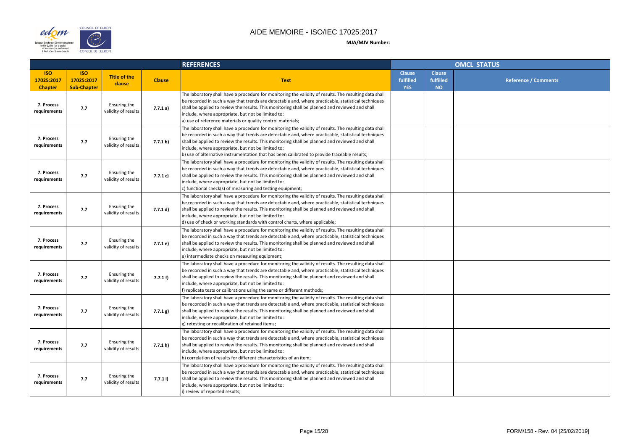

|                |                                         | <b>OMCL STATUS</b>          |
|----------------|-----------------------------------------|-----------------------------|
| se<br>ed<br>ŗ. | <b>Clause</b><br>fulfilled<br><b>NO</b> | <b>Reference / Comments</b> |
|                |                                         |                             |
|                |                                         |                             |
|                |                                         |                             |
|                |                                         |                             |
|                |                                         |                             |
|                |                                         |                             |
|                |                                         |                             |
|                |                                         |                             |
|                |                                         |                             |
|                |                                         |                             |
|                |                                         |                             |
|                |                                         |                             |
|                |                                         |                             |
|                |                                         |                             |
|                |                                         |                             |
|                |                                         |                             |
|                |                                         |                             |

|                                            |                                                |                                     |               | <b>REFERENCES</b>                                                                                                                                                                                                                                                                                                                                                                                                                                                      |                                          | <b>OMCL STATUS</b>                      |  |  |
|--------------------------------------------|------------------------------------------------|-------------------------------------|---------------|------------------------------------------------------------------------------------------------------------------------------------------------------------------------------------------------------------------------------------------------------------------------------------------------------------------------------------------------------------------------------------------------------------------------------------------------------------------------|------------------------------------------|-----------------------------------------|--|--|
| <b>ISO</b><br>17025:2017<br><b>Chapter</b> | <b>ISO</b><br>17025:2017<br><b>Sub-Chapter</b> | <b>Title of the</b><br>clause       | <b>Clause</b> | <b>Text</b>                                                                                                                                                                                                                                                                                                                                                                                                                                                            | <b>Clause</b><br>fulfilled<br><b>YES</b> | <b>Clause</b><br>fulfilled<br><b>NO</b> |  |  |
| 7. Process<br>requirements                 | 7.7                                            | Ensuring the<br>validity of results | 7.7.1a)       | The laboratory shall have a procedure for monitoring the validity of results. The resulting data shall<br>be recorded in such a way that trends are detectable and, where practicable, statistical techniques<br>shall be applied to review the results. This monitoring shall be planned and reviewed and shall<br>include, where appropriate, but not be limited to:<br>a) use of reference materials or quality control materials;                                  |                                          |                                         |  |  |
| 7. Process<br>requirements                 | 7.7                                            | Ensuring the<br>validity of results | 7.7.1 b)      | The laboratory shall have a procedure for monitoring the validity of results. The resulting data shall<br>be recorded in such a way that trends are detectable and, where practicable, statistical techniques<br>shall be applied to review the results. This monitoring shall be planned and reviewed and shall<br>include, where appropriate, but not be limited to:<br>b) use of alternative instrumentation that has been calibrated to provide traceable results; |                                          |                                         |  |  |
| 7. Process<br>requirements                 | 7.7                                            | Ensuring the<br>validity of results | 7.7.1 c)      | The laboratory shall have a procedure for monitoring the validity of results. The resulting data shall<br>be recorded in such a way that trends are detectable and, where practicable, statistical techniques<br>shall be applied to review the results. This monitoring shall be planned and reviewed and shall<br>include, where appropriate, but not be limited to:<br>$ c $ functional check(s) of measuring and testing equipment;                                |                                          |                                         |  |  |
| 7. Process<br>requirements                 | 7.7                                            | Ensuring the<br>validity of results | 7.7.1 d)      | The laboratory shall have a procedure for monitoring the validity of results. The resulting data shall<br>be recorded in such a way that trends are detectable and, where practicable, statistical techniques<br>shall be applied to review the results. This monitoring shall be planned and reviewed and shall<br>include, where appropriate, but not be limited to:<br>d) use of check or working standards with control charts, where applicable;                  |                                          |                                         |  |  |
| 7. Process<br>requirements                 | 7.7                                            | Ensuring the<br>validity of results | 7.7.1 e)      | The laboratory shall have a procedure for monitoring the validity of results. The resulting data shall<br>be recorded in such a way that trends are detectable and, where practicable, statistical techniques<br>shall be applied to review the results. This monitoring shall be planned and reviewed and shall<br>include, where appropriate, but not be limited to:<br>e) intermediate checks on measuring equipment;                                               |                                          |                                         |  |  |
| 7. Process<br>requirements                 | 7.7                                            | Ensuring the<br>validity of results | 7.7.1 f       | The laboratory shall have a procedure for monitoring the validity of results. The resulting data shall<br>be recorded in such a way that trends are detectable and, where practicable, statistical techniques<br>shall be applied to review the results. This monitoring shall be planned and reviewed and shall<br>include, where appropriate, but not be limited to:<br>f) replicate tests or calibrations using the same or different methods;                      |                                          |                                         |  |  |
| 7. Process<br>requirements                 | 7.7                                            | Ensuring the<br>validity of results | 7.7.1 g)      | The laboratory shall have a procedure for monitoring the validity of results. The resulting data shall<br>be recorded in such a way that trends are detectable and, where practicable, statistical techniques<br>shall be applied to review the results. This monitoring shall be planned and reviewed and shall<br>include, where appropriate, but not be limited to:<br>g) retesting or recalibration of retained items;                                             |                                          |                                         |  |  |
| 7. Process<br>requirements                 | 7.7                                            | Ensuring the<br>validity of results | 7.7.1 h)      | The laboratory shall have a procedure for monitoring the validity of results. The resulting data shall<br>be recorded in such a way that trends are detectable and, where practicable, statistical techniques<br>shall be applied to review the results. This monitoring shall be planned and reviewed and shall<br>include, where appropriate, but not be limited to:<br>h) correlation of results for different characteristics of an item;                          |                                          |                                         |  |  |
| 7. Process<br>requirements                 | 7.7                                            | Ensuring the<br>validity of results | 7.7.1 i)      | The laboratory shall have a procedure for monitoring the validity of results. The resulting data shall<br>be recorded in such a way that trends are detectable and, where practicable, statistical techniques<br>shall be applied to review the results. This monitoring shall be planned and reviewed and shall<br>include, where appropriate, but not be limited to:<br>i) review of reported results;                                                               |                                          |                                         |  |  |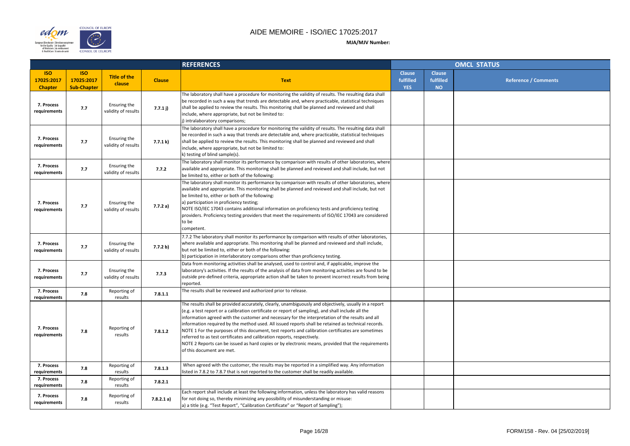

| <b>Clause</b><br>fulfilled<br><b>Reference / Comments</b><br><b>NO</b> |                | OMCL STATUS |
|------------------------------------------------------------------------|----------------|-------------|
|                                                                        | se<br>ed<br>i. |             |
|                                                                        |                |             |
|                                                                        |                |             |
|                                                                        |                |             |
|                                                                        |                |             |
|                                                                        |                |             |
|                                                                        |                |             |
|                                                                        |                |             |
|                                                                        |                |             |
|                                                                        |                |             |
|                                                                        |                |             |
|                                                                        |                |             |
|                                                                        |                |             |
|                                                                        |                |             |
|                                                                        |                |             |
|                                                                        |                |             |
|                                                                        |                |             |
|                                                                        |                |             |
|                                                                        |                |             |
|                                                                        |                |             |

|                                            |                                                |                                     |               | <b>REFERENCES</b>                                                                                                                                                                                                                                                                                                                                                                                                                                                                                                                                                                                                                                                                                                                         |                                          | <b>OMCL STATUS</b>                      |  |  |
|--------------------------------------------|------------------------------------------------|-------------------------------------|---------------|-------------------------------------------------------------------------------------------------------------------------------------------------------------------------------------------------------------------------------------------------------------------------------------------------------------------------------------------------------------------------------------------------------------------------------------------------------------------------------------------------------------------------------------------------------------------------------------------------------------------------------------------------------------------------------------------------------------------------------------------|------------------------------------------|-----------------------------------------|--|--|
| <b>ISO</b><br>17025:2017<br><b>Chapter</b> | <b>ISO</b><br>17025:2017<br><b>Sub-Chapter</b> | <b>Title of the</b><br>clause       | <b>Clause</b> | <b>Text</b>                                                                                                                                                                                                                                                                                                                                                                                                                                                                                                                                                                                                                                                                                                                               | <b>Clause</b><br>fulfilled<br><b>YES</b> | <b>Clause</b><br>fulfilled<br><b>NO</b> |  |  |
| 7. Process<br>requirements                 | 7.7                                            | Ensuring the<br>validity of results | 7.7.1j)       | The laboratory shall have a procedure for monitoring the validity of results. The resulting data shall<br>be recorded in such a way that trends are detectable and, where practicable, statistical techniques<br>shall be applied to review the results. This monitoring shall be planned and reviewed and shall<br>include, where appropriate, but not be limited to:<br>j) intralaboratory comparisons;                                                                                                                                                                                                                                                                                                                                 |                                          |                                         |  |  |
| 7. Process<br>requirements                 | 7.7                                            | Ensuring the<br>validity of results | 7.7.1 k)      | The laboratory shall have a procedure for monitoring the validity of results. The resulting data shall<br>be recorded in such a way that trends are detectable and, where practicable, statistical techniques<br>shall be applied to review the results. This monitoring shall be planned and reviewed and shall<br>include, where appropriate, but not be limited to:<br>k) testing of blind sample(s).                                                                                                                                                                                                                                                                                                                                  |                                          |                                         |  |  |
| 7. Process<br>requirements                 | 7.7                                            | Ensuring the<br>validity of results | 7.7.2         | The laboratory shall monitor its performance by comparison with results of other laboratories, where<br>available and appropriate. This monitoring shall be planned and reviewed and shall include, but not<br>be limited to, either or both of the following:                                                                                                                                                                                                                                                                                                                                                                                                                                                                            |                                          |                                         |  |  |
| 7. Process<br>requirements                 | 7.7                                            | Ensuring the<br>validity of results | 7.7.2a)       | The laboratory shall monitor its performance by comparison with results of other laboratories, where<br>available and appropriate. This monitoring shall be planned and reviewed and shall include, but not<br>be limited to, either or both of the following:<br>a) participation in proficiency testing;<br>NOTE ISO/IEC 17043 contains additional information on proficiency tests and proficiency testing<br>providers. Proficiency testing providers that meet the requirements of ISO/IEC 17043 are considered<br>to be<br>competent.                                                                                                                                                                                               |                                          |                                         |  |  |
| 7. Process<br>requirements                 | 7.7                                            | Ensuring the<br>validity of results | 7.7.2 b)      | 7.7.2 The laboratory shall monitor its performance by comparison with results of other laboratories,<br>where available and appropriate. This monitoring shall be planned and reviewed and shall include,<br>but not be limited to, either or both of the following:<br>b) participation in interlaboratory comparisons other than proficiency testing.                                                                                                                                                                                                                                                                                                                                                                                   |                                          |                                         |  |  |
| 7. Process<br>requirements                 | 7.7                                            | Ensuring the<br>validity of results | 7.7.3         | Data from monitoring activities shall be analysed, used to control and, if applicable, improve the<br>laboratory's activities. If the results of the analysis of data from monitoring activities are found to be<br>outside pre-defined criteria, appropriate action shall be taken to prevent incorrect results from being<br>reported.                                                                                                                                                                                                                                                                                                                                                                                                  |                                          |                                         |  |  |
| 7. Process<br>requirements                 | 7.8                                            | Reporting of<br>results             | 7.8.1.1       | The results shall be reviewed and authorized prior to release.                                                                                                                                                                                                                                                                                                                                                                                                                                                                                                                                                                                                                                                                            |                                          |                                         |  |  |
| 7. Process<br>requirements                 | 7.8                                            | Reporting of<br>results             | 7.8.1.2       | The results shall be provided accurately, clearly, unambiguously and objectively, usually in a report<br>(e.g. a test report or a calibration certificate or report of sampling), and shall include all the<br>information agreed with the customer and necessary for the interpretation of the results and all<br>information required by the method used. All issued reports shall be retained as technical records.<br>NOTE 1 For the purposes of this document, test reports and calibration certificates are sometimes<br>referred to as test certificates and calibration reports, respectively.<br>NOTE 2 Reports can be issued as hard copies or by electronic means, provided that the requirements<br>of this document are met. |                                          |                                         |  |  |
| 7. Process<br>requirements                 | 7.8                                            | Reporting of<br>results             | 7.8.1.3       | When agreed with the customer, the results may be reported in a simplified way. Any information<br>listed in 7.8.2 to 7.8.7 that is not reported to the customer shall be readily available.                                                                                                                                                                                                                                                                                                                                                                                                                                                                                                                                              |                                          |                                         |  |  |
| 7. Process<br>requirements                 | 7.8                                            | Reporting of<br>results             | 7.8.2.1       |                                                                                                                                                                                                                                                                                                                                                                                                                                                                                                                                                                                                                                                                                                                                           |                                          |                                         |  |  |
| 7. Process<br>requirements                 | 7.8                                            | Reporting of<br>results             | 7.8.2.1 a)    | Each report shall include at least the following information, unless the laboratory has valid reasons<br>for not doing so, thereby minimizing any possibility of misunderstanding or misuse:<br>a) a title (e.g. "Test Report", "Calibration Certificate" or "Report of Sampling");                                                                                                                                                                                                                                                                                                                                                                                                                                                       |                                          |                                         |  |  |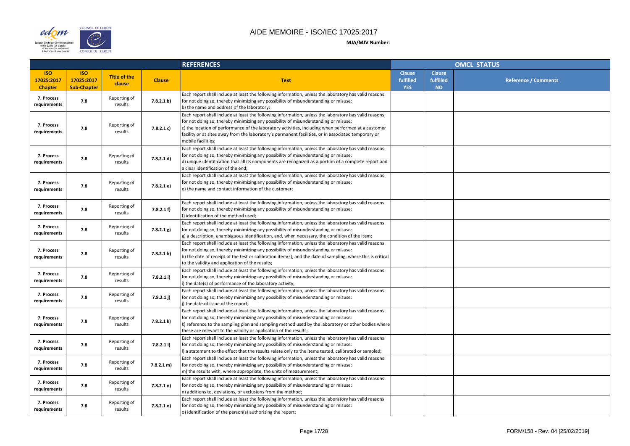

|                    |                                         | <b>OMCL STATUS</b>   |
|--------------------|-----------------------------------------|----------------------|
| se<br>ed<br>)<br>J | <b>Clause</b><br>fulfilled<br><b>NO</b> | Reference / Comments |
|                    |                                         |                      |
|                    |                                         |                      |
|                    |                                         |                      |
|                    |                                         |                      |
|                    |                                         |                      |
|                    |                                         |                      |
|                    |                                         |                      |
|                    |                                         |                      |
|                    |                                         |                      |
|                    |                                         |                      |
|                    |                                         |                      |
|                    |                                         |                      |
|                    |                                         |                      |
|                    |                                         |                      |
|                    |                                         |                      |

|                                            |                                                |                               |               | <b>REFERENCES</b>                                                                                                                                                                                                                                                                                                                                                                                                                |                                          | <b>OMCL STATUS</b>                      |  |  |
|--------------------------------------------|------------------------------------------------|-------------------------------|---------------|----------------------------------------------------------------------------------------------------------------------------------------------------------------------------------------------------------------------------------------------------------------------------------------------------------------------------------------------------------------------------------------------------------------------------------|------------------------------------------|-----------------------------------------|--|--|
| <b>ISO</b><br>17025:2017<br><b>Chapter</b> | <b>ISO</b><br>17025:2017<br><b>Sub-Chapter</b> | <b>Title of the</b><br>clause | <b>Clause</b> | <b>Text</b>                                                                                                                                                                                                                                                                                                                                                                                                                      | <b>Clause</b><br>fulfilled<br><b>YES</b> | <b>Clause</b><br>fulfilled<br><b>NO</b> |  |  |
| 7. Process<br>requirements                 | 7.8                                            | Reporting of<br>results       | 7.8.2.1 b)    | Each report shall include at least the following information, unless the laboratory has valid reasons<br>for not doing so, thereby minimizing any possibility of misunderstanding or misuse:<br>b) the name and address of the laboratory;                                                                                                                                                                                       |                                          |                                         |  |  |
| 7. Process<br>requirements                 | 7.8                                            | Reporting of<br>results       | 7.8.2.1 c)    | Each report shall include at least the following information, unless the laboratory has valid reasons<br>for not doing so, thereby minimizing any possibility of misunderstanding or misuse:<br>c) the location of performance of the laboratory activities, including when performed at a customer<br>facility or at sites away from the laboratory's permanent facilities, or in associated temporary or<br>mobile facilities; |                                          |                                         |  |  |
| 7. Process<br>requirements                 | 7.8                                            | Reporting of<br>results       | 7.8.2.1 d)    | Each report shall include at least the following information, unless the laboratory has valid reasons<br>for not doing so, thereby minimizing any possibility of misunderstanding or misuse:<br>d) unique identification that all its components are recognized as a portion of a complete report and<br>a clear identification of the end;                                                                                      |                                          |                                         |  |  |
| 7. Process<br>requirements                 | 7.8                                            | Reporting of<br>results       | 7.8.2.1 e)    | Each report shall include at least the following information, unless the laboratory has valid reasons<br>for not doing so, thereby minimizing any possibility of misunderstanding or misuse:<br>e) the name and contact information of the customer;                                                                                                                                                                             |                                          |                                         |  |  |
| 7. Process<br>requirements                 | 7.8                                            | Reporting of<br>results       | 7.8.2.1 f     | Each report shall include at least the following information, unless the laboratory has valid reasons<br>for not doing so, thereby minimizing any possibility of misunderstanding or misuse:<br>f) identification of the method used;                                                                                                                                                                                            |                                          |                                         |  |  |
| 7. Process<br>requirements                 | 7.8                                            | Reporting of<br>results       | 7.8.2.1 g)    | Each report shall include at least the following information, unless the laboratory has valid reasons<br>for not doing so, thereby minimizing any possibility of misunderstanding or misuse:<br>$ g $ a description, unambiguous identification, and, when necessary, the condition of the item;                                                                                                                                 |                                          |                                         |  |  |
| 7. Process<br>requirements                 | 7.8                                            | Reporting of<br>results       | 7.8.2.1 h)    | Each report shall include at least the following information, unless the laboratory has valid reasons<br>for not doing so, thereby minimizing any possibility of misunderstanding or misuse:<br>h) the date of receipt of the test or calibration item(s), and the date of sampling, where this is critical<br>to the validity and application of the results;                                                                   |                                          |                                         |  |  |
| 7. Process<br>requirements                 | 7.8                                            | Reporting of<br>results       | 7.8.2.1 i)    | Each report shall include at least the following information, unless the laboratory has valid reasons<br>for not doing so, thereby minimizing any possibility of misunderstanding or misuse:<br>i) the date(s) of performance of the laboratory activity;                                                                                                                                                                        |                                          |                                         |  |  |
| 7. Process<br>requirements                 | 7.8                                            | Reporting of<br>results       | 7.8.2.1 j)    | Each report shall include at least the following information, unless the laboratory has valid reasons<br>for not doing so, thereby minimizing any possibility of misunderstanding or misuse:<br>j) the date of issue of the report;                                                                                                                                                                                              |                                          |                                         |  |  |
| 7. Process<br>requirements                 | 7.8                                            | Reporting of<br>results       | 7.8.2.1 k)    | Each report shall include at least the following information, unless the laboratory has valid reasons<br>for not doing so, thereby minimizing any possibility of misunderstanding or misuse:<br>k) reference to the sampling plan and sampling method used by the laboratory or other bodies where<br>these are relevant to the validity or application of the results;                                                          |                                          |                                         |  |  |
| 7. Process<br>requirements                 | 7.8                                            | Reporting of<br>results       | $7.8.2.1$ I)  | Each report shall include at least the following information, unless the laboratory has valid reasons<br>for not doing so, thereby minimizing any possibility of misunderstanding or misuse:<br>(I) a statement to the effect that the results relate only to the items tested, calibrated or sampled;                                                                                                                           |                                          |                                         |  |  |
| 7. Process<br>requirements                 | 7.8                                            | Reporting of<br>results       | 7.8.2.1 m)    | Each report shall include at least the following information, unless the laboratory has valid reasons<br>for not doing so, thereby minimizing any possibility of misunderstanding or misuse:<br>$ m$ ) the results with, where appropriate, the units of measurement;                                                                                                                                                            |                                          |                                         |  |  |
| 7. Process<br>requirements                 | 7.8                                            | Reporting of<br>results       | 7.8.2.1 n)    | Each report shall include at least the following information, unless the laboratory has valid reasons<br>for not doing so, thereby minimizing any possibility of misunderstanding or misuse:<br>n) additions to, deviations, or exclusions from the method;                                                                                                                                                                      |                                          |                                         |  |  |
| 7. Process<br>requirements                 | 7.8                                            | Reporting of<br>results       | $7.8.2.1$ o)  | Each report shall include at least the following information, unless the laboratory has valid reasons<br>for not doing so, thereby minimizing any possibility of misunderstanding or misuse:<br>(o) identification of the person(s) authorizing the report;                                                                                                                                                                      |                                          |                                         |  |  |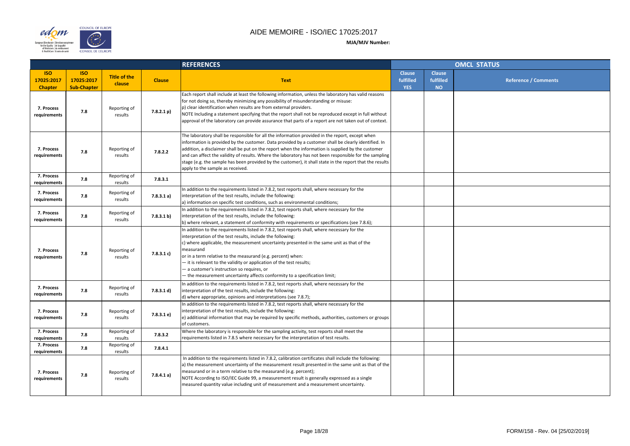

#### COUNCIL OF EUROPE edom  $\sum_{i=1}^{n}$ European Directorate | Direction européer<br>| for the Quality | de la qualité<br>| of Medicines | du médicament<br>| & HealthCare | & soins de santé **CONSEIL DE L'EUROPE**

|                |                                         | <b>OMCL STATUS</b> |                             |
|----------------|-----------------------------------------|--------------------|-----------------------------|
| se<br>ed<br>ĵ. | <b>Clause</b><br>fulfilled<br><b>NO</b> |                    | <b>Reference / Comments</b> |
|                |                                         |                    |                             |
|                |                                         |                    |                             |
|                |                                         |                    |                             |
|                |                                         |                    |                             |
|                |                                         |                    |                             |
|                |                                         |                    |                             |
|                |                                         |                    |                             |
|                |                                         |                    |                             |
|                |                                         |                    |                             |
|                |                                         |                    |                             |
|                |                                         |                    |                             |
|                |                                         |                    |                             |
|                |                                         |                    |                             |
|                |                                         |                    |                             |
|                |                                         |                    |                             |
|                |                                         |                    |                             |
|                |                                         |                    |                             |
|                |                                         |                    |                             |
|                |                                         |                    |                             |

|                                            |                                                |                               |               | <b>REFERENCES</b>                                                                                                                                                                                                                                                                                                                                                                                                                                                                                                                                                       |                                          |                                         | <b>OMCL STATUS</b> |
|--------------------------------------------|------------------------------------------------|-------------------------------|---------------|-------------------------------------------------------------------------------------------------------------------------------------------------------------------------------------------------------------------------------------------------------------------------------------------------------------------------------------------------------------------------------------------------------------------------------------------------------------------------------------------------------------------------------------------------------------------------|------------------------------------------|-----------------------------------------|--------------------|
| <b>ISO</b><br>17025:2017<br><b>Chapter</b> | <b>ISO</b><br>17025:2017<br><b>Sub-Chapter</b> | <b>Title of the</b><br>clause | <b>Clause</b> | <b>Text</b>                                                                                                                                                                                                                                                                                                                                                                                                                                                                                                                                                             | <b>Clause</b><br>fulfilled<br><b>YES</b> | <b>Clause</b><br>fulfilled<br><b>NO</b> |                    |
| 7. Process<br>requirements                 | 7.8                                            | Reporting of<br>results       | 7.8.2.1 p)    | Each report shall include at least the following information, unless the laboratory has valid reasons<br>for not doing so, thereby minimizing any possibility of misunderstanding or misuse:<br>p) clear identification when results are from external providers.<br>NOTE Including a statement specifying that the report shall not be reproduced except in full without<br>approval of the laboratory can provide assurance that parts of a report are not taken out of context.                                                                                      |                                          |                                         |                    |
| 7. Process<br>requirements                 | 7.8                                            | Reporting of<br>results       | 7.8.2.2       | The laboratory shall be responsible for all the information provided in the report, except when<br>information is provided by the customer. Data provided by a customer shall be clearly identified. In<br>addition, a disclaimer shall be put on the report when the information is supplied by the customer<br>and can affect the validity of results. Where the laboratory has not been responsible for the sampling<br>stage (e.g. the sample has been provided by the customer), it shall state in the report that the results<br>apply to the sample as received. |                                          |                                         |                    |
| 7. Process<br>requirements                 | 7.8                                            | Reporting of<br>results       | 7.8.3.1       |                                                                                                                                                                                                                                                                                                                                                                                                                                                                                                                                                                         |                                          |                                         |                    |
| 7. Process<br>requirements                 | 7.8                                            | Reporting of<br>results       | 7.8.3.1 a)    | In addition to the requirements listed in 7.8.2, test reports shall, where necessary for the<br>interpretation of the test results, include the following:<br>a) information on specific test conditions, such as environmental conditions;                                                                                                                                                                                                                                                                                                                             |                                          |                                         |                    |
| 7. Process<br>requirements                 | 7.8                                            | Reporting of<br>results       | 7.8.3.1 b)    | In addition to the requirements listed in 7.8.2, test reports shall, where necessary for the<br>interpretation of the test results, include the following:<br>(b) where relevant, a statement of conformity with requirements or specifications (see 7.8.6);                                                                                                                                                                                                                                                                                                            |                                          |                                         |                    |
| 7. Process<br>requirements                 | 7.8                                            | Reporting of<br>results       | 7.8.3.1 c)    | In addition to the requirements listed in 7.8.2, test reports shall, where necessary for the<br>interpretation of the test results, include the following:<br>c) where applicable, the measurement uncertainty presented in the same unit as that of the<br><b>measurand</b><br>or in a term relative to the measurand (e.g. percent) when:<br>- it is relevant to the validity or application of the test results;<br>- a customer's instruction so requires, or<br>- the measurement uncertainty affects conformity to a specification limit;                         |                                          |                                         |                    |
| 7. Process<br>requirements                 | 7.8                                            | Reporting of<br>results       | 7.8.3.1 d)    | In addition to the requirements listed in 7.8.2, test reports shall, where necessary for the<br>interpretation of the test results, include the following:<br>d) where appropriate, opinions and interpretations (see 7.8.7);                                                                                                                                                                                                                                                                                                                                           |                                          |                                         |                    |
| 7. Process<br>requirements                 | 7.8                                            | Reporting of<br>results       | 7.8.3.1 e)    | In addition to the requirements listed in 7.8.2, test reports shall, where necessary for the<br>interpretation of the test results, include the following:<br>e) additional information that may be required by specific methods, authorities, customers or groups<br>of customers.                                                                                                                                                                                                                                                                                     |                                          |                                         |                    |
| 7. Process<br>requirements                 | 7.8                                            | Reporting of<br>results       | 7.8.3.2       | Where the laboratory is responsible for the sampling activity, test reports shall meet the<br>requirements listed in 7.8.5 where necessary for the interpretation of test results.                                                                                                                                                                                                                                                                                                                                                                                      |                                          |                                         |                    |
| 7. Process<br>requirements                 | 7.8                                            | Reporting of<br>results       | 7.8.4.1       |                                                                                                                                                                                                                                                                                                                                                                                                                                                                                                                                                                         |                                          |                                         |                    |
| 7. Process<br>requirements                 | 7.8                                            | Reporting of<br>results       | 7.8.4.1 a)    | In addition to the requirements listed in 7.8.2, calibration certificates shall include the following:<br>a) the measurement uncertainty of the measurement result presented in the same unit as that of the<br>measurand or in a term relative to the measurand (e.g. percent);<br>NOTE According to ISO/IEC Guide 99, a measurement result is generally expressed as a single<br>measured quantity value including unit of measurement and a measurement uncertainty.                                                                                                 |                                          |                                         |                    |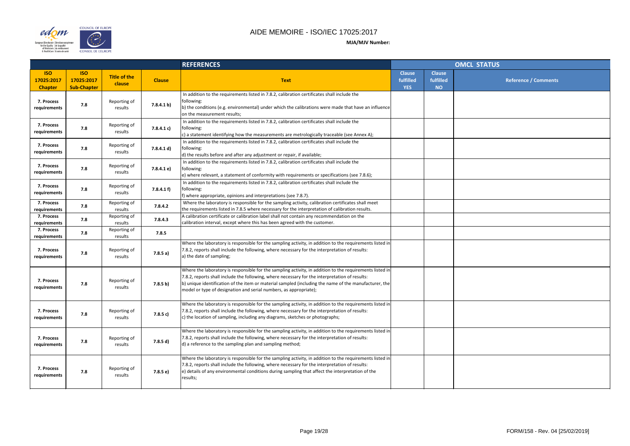

|                |                                         | <b>OMCL STATUS</b>   |
|----------------|-----------------------------------------|----------------------|
| se<br>ed<br>i, | <b>Clause</b><br>fulfilled<br><b>NO</b> | Reference / Comments |
|                |                                         |                      |
|                |                                         |                      |
|                |                                         |                      |
|                |                                         |                      |
|                |                                         |                      |
|                |                                         |                      |
|                |                                         |                      |
|                |                                         |                      |
|                |                                         |                      |
|                |                                         |                      |
|                |                                         |                      |
|                |                                         |                      |
|                |                                         |                      |
|                |                                         |                      |
|                |                                         |                      |
|                |                                         |                      |

|                                            |                                                |                               |               | <b>REFERENCES</b>                                                                                                                                                                                                                                                                                                                                                                        |                                          |                                         | <b>OMCL STATUS</b> |
|--------------------------------------------|------------------------------------------------|-------------------------------|---------------|------------------------------------------------------------------------------------------------------------------------------------------------------------------------------------------------------------------------------------------------------------------------------------------------------------------------------------------------------------------------------------------|------------------------------------------|-----------------------------------------|--------------------|
| <b>ISO</b><br>17025:2017<br><b>Chapter</b> | <b>ISO</b><br>17025:2017<br><b>Sub-Chapter</b> | <b>Title of the</b><br>clause | <b>Clause</b> | <b>Text</b>                                                                                                                                                                                                                                                                                                                                                                              | <b>Clause</b><br>fulfilled<br><b>YES</b> | <b>Clause</b><br>fulfilled<br><b>NO</b> |                    |
| 7. Process<br>requirements                 | 7.8                                            | Reporting of<br>results       | 7.8.4.1 b)    | In addition to the requirements listed in 7.8.2, calibration certificates shall include the<br>following:<br>b) the conditions (e.g. environmental) under which the calibrations were made that have an influence<br>on the measurement results;                                                                                                                                         |                                          |                                         |                    |
| 7. Process<br>requirements                 | 7.8                                            | Reporting of<br>results       | 7.8.4.1 c)    | In addition to the requirements listed in 7.8.2, calibration certificates shall include the<br>following:<br>c) a statement identifying how the measurements are metrologically traceable (see Annex A);                                                                                                                                                                                 |                                          |                                         |                    |
| 7. Process<br>requirements                 | 7.8                                            | Reporting of<br>results       | 7.8.4.1 d)    | In addition to the requirements listed in 7.8.2, calibration certificates shall include the<br>following:<br>d) the results before and after any adjustment or repair, if available;                                                                                                                                                                                                     |                                          |                                         |                    |
| 7. Process<br>requirements                 | 7.8                                            | Reporting of<br>results       | 7.8.4.1 e)    | In addition to the requirements listed in 7.8.2, calibration certificates shall include the<br>following:<br>$ e\rangle$ where relevant, a statement of conformity with requirements or specifications (see 7.8.6);                                                                                                                                                                      |                                          |                                         |                    |
| 7. Process<br>requirements                 | 7.8                                            | Reporting of<br>results       | 7.8.4.1 f     | In addition to the requirements listed in 7.8.2, calibration certificates shall include the<br>following:<br>f) where appropriate, opinions and interpretations (see 7.8.7).                                                                                                                                                                                                             |                                          |                                         |                    |
| 7. Process<br>requirements                 | 7.8                                            | Reporting of<br>results       | 7.8.4.2       | Where the laboratory is responsible for the sampling activity, calibration certificates shall meet<br>the requirements listed in 7.8.5 where necessary for the interpretation of calibration results.                                                                                                                                                                                    |                                          |                                         |                    |
| 7. Process<br>requirements                 | 7.8                                            | Reporting of<br>results       | 7.8.4.3       | A calibration certificate or calibration label shall not contain any recommendation on the<br>calibration interval, except where this has been agreed with the customer.                                                                                                                                                                                                                 |                                          |                                         |                    |
| 7. Process<br>requirements                 | 7.8                                            | Reporting of<br>results       | 7.8.5         |                                                                                                                                                                                                                                                                                                                                                                                          |                                          |                                         |                    |
| 7. Process<br>requirements                 | 7.8                                            | Reporting of<br>results       | 7.8.5a)       | Where the laboratory is responsible for the sampling activity, in addition to the requirements listed in<br>7.8.2, reports shall include the following, where necessary for the interpretation of results:<br>a) the date of sampling;                                                                                                                                                   |                                          |                                         |                    |
| 7. Process<br>requirements                 | 7.8                                            | Reporting of<br>results       | 7.8.5 b)      | Where the laboratory is responsible for the sampling activity, in addition to the requirements listed in<br>7.8.2, reports shall include the following, where necessary for the interpretation of results:<br>b) unique identification of the item or material sampled (including the name of the manufacturer, the<br>model or type of designation and serial numbers, as appropriate); |                                          |                                         |                    |
| 7. Process<br>requirements                 | 7.8                                            | Reporting of<br>results       | 7.8.5 c)      | Where the laboratory is responsible for the sampling activity, in addition to the requirements listed in<br>7.8.2, reports shall include the following, where necessary for the interpretation of results:<br>c) the location of sampling, including any diagrams, sketches or photographs;                                                                                              |                                          |                                         |                    |
| 7. Process<br>requirements                 | 7.8                                            | Reporting of<br>results       | 7.8.5 d)      | Where the laboratory is responsible for the sampling activity, in addition to the requirements listed in<br>7.8.2, reports shall include the following, where necessary for the interpretation of results:<br>d) a reference to the sampling plan and sampling method;                                                                                                                   |                                          |                                         |                    |
| 7. Process<br>requirements                 | 7.8                                            | Reporting of<br>results       | 7.8.5 e)      | Where the laboratory is responsible for the sampling activity, in addition to the requirements listed in<br>7.8.2, reports shall include the following, where necessary for the interpretation of results:<br>$ e\rangle$ details of any environmental conditions during sampling that affect the interpretation of the<br>results;                                                      |                                          |                                         |                    |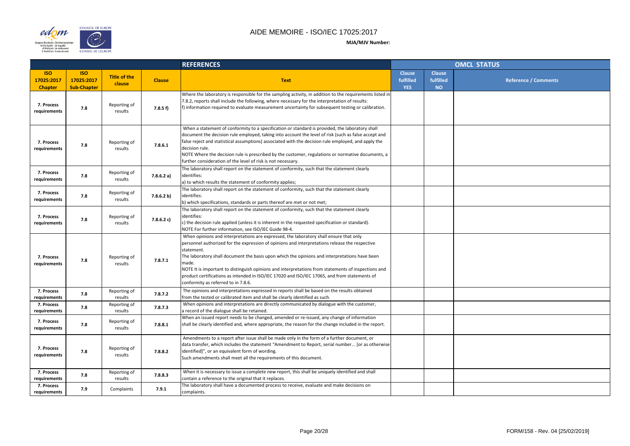

|                    |                                         | <b>OMCL STATUS</b>          |
|--------------------|-----------------------------------------|-----------------------------|
| se<br>ed<br>i<br>D | <b>Clause</b><br>fulfilled<br><b>NO</b> | <b>Reference / Comments</b> |
|                    |                                         |                             |
|                    |                                         |                             |
|                    |                                         |                             |
|                    |                                         |                             |
|                    |                                         |                             |
|                    |                                         |                             |
|                    |                                         |                             |
|                    |                                         |                             |
|                    |                                         |                             |
|                    |                                         |                             |
|                    |                                         |                             |
|                    |                                         |                             |
|                    |                                         |                             |
|                    |                                         |                             |
|                    |                                         |                             |
|                    |                                         |                             |
|                    |                                         |                             |

|                                            |                                                |                               |               | <b>REFERENCES</b>                                                                                                                                                                                                                                                                                                                                                                                                                                                                                                                                                |                                          |                                         | <b>OMCL STATUS</b> |
|--------------------------------------------|------------------------------------------------|-------------------------------|---------------|------------------------------------------------------------------------------------------------------------------------------------------------------------------------------------------------------------------------------------------------------------------------------------------------------------------------------------------------------------------------------------------------------------------------------------------------------------------------------------------------------------------------------------------------------------------|------------------------------------------|-----------------------------------------|--------------------|
| <b>ISO</b><br>17025:2017<br><b>Chapter</b> | <b>ISO</b><br>17025:2017<br><b>Sub-Chapter</b> | <b>Title of the</b><br>clause | <b>Clause</b> | <b>Text</b>                                                                                                                                                                                                                                                                                                                                                                                                                                                                                                                                                      | <b>Clause</b><br>fulfilled<br><b>YES</b> | <b>Clause</b><br>fulfilled<br><b>NO</b> |                    |
| 7. Process<br>requirements                 | 7.8                                            | Reporting of<br>results       | 7.8.5 f)      | Where the laboratory is responsible for the sampling activity, in addition to the requirements listed in<br>7.8.2, reports shall include the following, where necessary for the interpretation of results:<br>$\mathsf{f}$ ) information required to evaluate measurement uncertainty for subsequent testing or calibration.                                                                                                                                                                                                                                     |                                          |                                         |                    |
| 7. Process<br>requirements                 | 7.8                                            | Reporting of<br>results       | 7.8.6.1       | When a statement of conformity to a specification or standard is provided, the laboratory shall<br>document the decision rule employed, taking into account the level of risk (such as false accept and<br>false reject and statistical assumptions) associated with the decision rule employed, and apply the<br>decision rule.<br>NOTE Where the decision rule is prescribed by the customer, regulations or normative documents, a<br>further consideration of the level of risk is not necessary.                                                            |                                          |                                         |                    |
| 7. Process<br>requirements                 | 7.8                                            | Reporting of<br>results       | 7.8.6.2 a)    | The laboratory shall report on the statement of conformity, such that the statement clearly<br>identifies:<br>a) to which results the statement of conformity applies;                                                                                                                                                                                                                                                                                                                                                                                           |                                          |                                         |                    |
| 7. Process<br>requirements                 | 7.8                                            | Reporting of<br>results       | 7.8.6.2 b)    | The laboratory shall report on the statement of conformity, such that the statement clearly<br>identifies:<br>(b) which specifications, standards or parts thereof are met or not met;                                                                                                                                                                                                                                                                                                                                                                           |                                          |                                         |                    |
| 7. Process<br>requirements                 | 7.8                                            | Reporting of<br>results       | 7.8.6.2 c)    | The laboratory shall report on the statement of conformity, such that the statement clearly<br>identifies:<br>$ c $ the decision rule applied (unless it is inherent in the requested specification or standard).<br>NOTE For further information, see ISO/IEC Guide 98-4.                                                                                                                                                                                                                                                                                       |                                          |                                         |                    |
| 7. Process<br>requirements                 | 7.8                                            | Reporting of<br>results       | 7.8.7.1       | When opinions and interpretations are expressed, the laboratory shall ensure that only<br>personnel authorized for the expression of opinions and interpretations release the respective<br>statement.<br>The laboratory shall document the basis upon which the opinions and interpretations have been<br>Imade.<br>NOTE It is important to distinguish opinions and interpretations from statements of inspections and<br>product certifications as intended in ISO/IEC 17020 and ISO/IEC 17065, and from statements of<br>conformity as referred to in 7.8.6. |                                          |                                         |                    |
| 7. Process<br>requirements                 | 7.8                                            | Reporting of<br>results       | 7.8.7.2       | The opinions and interpretations expressed in reports shall be based on the results obtained<br>from the tested or calibrated item and shall be clearly identified as such.                                                                                                                                                                                                                                                                                                                                                                                      |                                          |                                         |                    |
| 7. Process<br>requirements                 | 7.8                                            | Reporting of<br>results       | 7.8.7.3       | When opinions and interpretations are directly communicated by dialogue with the customer,<br>a record of the dialogue shall be retained.                                                                                                                                                                                                                                                                                                                                                                                                                        |                                          |                                         |                    |
| 7. Process<br>requirements                 | 7.8                                            | Reporting of<br>results       | 7.8.8.1       | When an issued report needs to be changed, amended or re-issued, any change of information<br>shall be clearly identified and, where appropriate, the reason for the change included in the report.                                                                                                                                                                                                                                                                                                                                                              |                                          |                                         |                    |
| 7. Process<br>requirements                 | 7.8                                            | Reporting of<br>results       | 7.8.8.2       | Amendments to a report after issue shall be made only in the form of a further document, or<br>data transfer, which includes the statement "Amendment to Report, serial number [or as otherwise]<br>identified]", or an equivalent form of wording.<br>Such amendments shall meet all the requirements of this document.                                                                                                                                                                                                                                         |                                          |                                         |                    |
| 7. Process<br>requirements                 | 7.8                                            | Reporting of<br>results       | 7.8.8.3       | When it is necessary to issue a complete new report, this shall be uniquely identified and shall<br>contain a reference to the original that it replaces.                                                                                                                                                                                                                                                                                                                                                                                                        |                                          |                                         |                    |
| 7. Process<br>requirements                 | 7.9                                            | Complaints                    | 7.9.1         | The laboratory shall have a documented process to receive, evaluate and make decisions on<br>complaints.                                                                                                                                                                                                                                                                                                                                                                                                                                                         |                                          |                                         |                    |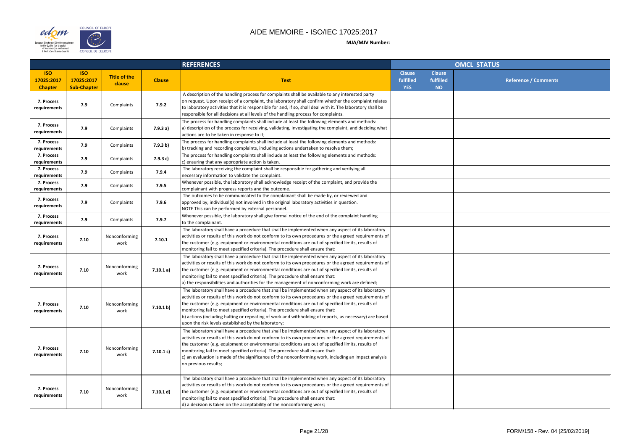



|                    |                                         | <b>OMCL STATUS</b>          |
|--------------------|-----------------------------------------|-----------------------------|
| se<br>ed<br>i<br>I | <b>Clause</b><br>fulfilled<br><b>NO</b> | <b>Reference / Comments</b> |
|                    |                                         |                             |
|                    |                                         |                             |
|                    |                                         |                             |
|                    |                                         |                             |
|                    |                                         |                             |
|                    |                                         |                             |
|                    |                                         |                             |
|                    |                                         |                             |
|                    |                                         |                             |
|                    |                                         |                             |
|                    |                                         |                             |
|                    |                                         |                             |
|                    |                                         |                             |
|                    |                                         |                             |
|                    |                                         |                             |
|                    |                                         |                             |
|                    |                                         |                             |
|                    |                                         |                             |

|                                            |                                                |                               |               | <b>REFERENCES</b>                                                                                                                                                                                                                                                                                                                                                                                                                                                                                                                                                |                                          |                                         | <b>OMCL STATUS</b> |
|--------------------------------------------|------------------------------------------------|-------------------------------|---------------|------------------------------------------------------------------------------------------------------------------------------------------------------------------------------------------------------------------------------------------------------------------------------------------------------------------------------------------------------------------------------------------------------------------------------------------------------------------------------------------------------------------------------------------------------------------|------------------------------------------|-----------------------------------------|--------------------|
| <b>ISO</b><br>17025:2017<br><b>Chapter</b> | <b>ISO</b><br>17025:2017<br><b>Sub-Chapter</b> | <b>Title of the</b><br>clause | <b>Clause</b> | <b>Text</b>                                                                                                                                                                                                                                                                                                                                                                                                                                                                                                                                                      | <b>Clause</b><br>fulfilled<br><b>YES</b> | <b>Clause</b><br>fulfilled<br><b>NO</b> |                    |
| 7. Process<br>requirements                 | 7.9                                            | Complaints                    | 7.9.2         | A description of the handling process for complaints shall be available to any interested party<br>on request. Upon receipt of a complaint, the laboratory shall confirm whether the complaint relates<br>to laboratory activities that it is responsible for and, if so, shall deal with it. The laboratory shall be<br>responsible for all decisions at all levels of the handling process for complaints.                                                                                                                                                     |                                          |                                         |                    |
| 7. Process<br>requirements                 | 7.9                                            | Complaints                    | 7.9.3a)       | The process for handling complaints shall include at least the following elements and methods:<br>a) description of the process for receiving, validating, investigating the complaint, and deciding what<br>actions are to be taken in response to it;                                                                                                                                                                                                                                                                                                          |                                          |                                         |                    |
| 7. Process<br>requirements                 | 7.9                                            | Complaints                    | 7.9.3 b)      | The process for handling complaints shall include at least the following elements and methods:<br>b) tracking and recording complaints, including actions undertaken to resolve them;                                                                                                                                                                                                                                                                                                                                                                            |                                          |                                         |                    |
| 7. Process<br>requirements                 | 7.9                                            | Complaints                    | 7.9.3 c)      | The process for handling complaints shall include at least the following elements and methods:<br>c) ensuring that any appropriate action is taken.                                                                                                                                                                                                                                                                                                                                                                                                              |                                          |                                         |                    |
| 7. Process<br>requirements                 | 7.9                                            | Complaints                    | 7.9.4         | The laboratory receiving the complaint shall be responsible for gathering and verifying all<br>necessary information to validate the complaint.                                                                                                                                                                                                                                                                                                                                                                                                                  |                                          |                                         |                    |
| 7. Process<br>requirements                 | 7.9                                            | Complaints                    | 7.9.5         | Whenever possible, the laboratory shall acknowledge receipt of the complaint, and provide the<br>complainant with progress reports and the outcome.                                                                                                                                                                                                                                                                                                                                                                                                              |                                          |                                         |                    |
| 7. Process<br>requirements                 | 7.9                                            | Complaints                    | 7.9.6         | The outcomes to be communicated to the complainant shall be made by, or reviewed and<br>approved by, individual(s) not involved in the original laboratory activities in question.<br>NOTE This can be performed by external personnel.                                                                                                                                                                                                                                                                                                                          |                                          |                                         |                    |
| 7. Process<br>requirements                 | 7.9                                            | Complaints                    | 7.9.7         | Whenever possible, the laboratory shall give formal notice of the end of the complaint handling<br>to the complainant.                                                                                                                                                                                                                                                                                                                                                                                                                                           |                                          |                                         |                    |
| 7. Process<br>requirements                 | 7.10                                           | Nonconforming<br>work         | 7.10.1        | The laboratory shall have a procedure that shall be implemented when any aspect of its laboratory<br>activities or results of this work do not conform to its own procedures or the agreed requirements of<br>the customer (e.g. equipment or environmental conditions are out of specified limits, results of<br>monitoring fail to meet specified criteria). The procedure shall ensure that:                                                                                                                                                                  |                                          |                                         |                    |
| 7. Process<br>requirements                 | 7.10                                           | Nonconforming<br>work         | 7.10.1 a)     | The laboratory shall have a procedure that shall be implemented when any aspect of its laboratory<br>activities or results of this work do not conform to its own procedures or the agreed requirements of<br>the customer (e.g. equipment or environmental conditions are out of specified limits, results of<br>monitoring fail to meet specified criteria). The procedure shall ensure that:<br>a) the responsibilities and authorities for the management of nonconforming work are defined;                                                                 |                                          |                                         |                    |
| 7. Process<br>requirements                 | 7.10                                           | Nonconforming<br>work         | 7.10.1 b)     | The laboratory shall have a procedure that shall be implemented when any aspect of its laboratory<br>activities or results of this work do not conform to its own procedures or the agreed requirements of<br>the customer (e.g. equipment or environmental conditions are out of specified limits, results of<br>monitoring fail to meet specified criteria). The procedure shall ensure that:<br>b) actions (including halting or repeating of work and withholding of reports, as necessary) are based<br>upon the risk levels established by the laboratory; |                                          |                                         |                    |
| 7. Process<br>requirements                 | 7.10                                           | Nonconforming<br>work         | 7.10.1 c)     | The laboratory shall have a procedure that shall be implemented when any aspect of its laboratory<br>activities or results of this work do not conform to its own procedures or the agreed requirements of<br>the customer (e.g. equipment or environmental conditions are out of specified limits, results of<br>monitoring fail to meet specified criteria). The procedure shall ensure that:<br>$ c $ an evaluation is made of the significance of the nonconforming work, including an impact analysis<br>on previous results;                               |                                          |                                         |                    |
| 7. Process<br>requirements                 | 7.10                                           | Nonconforming<br>work         | 7.10.1 d)     | The laboratory shall have a procedure that shall be implemented when any aspect of its laboratory<br>activities or results of this work do not conform to its own procedures or the agreed requirements of<br>the customer (e.g. equipment or environmental conditions are out of specified limits, results of<br>monitoring fail to meet specified criteria). The procedure shall ensure that:<br>d) a decision is taken on the acceptability of the nonconforming work;                                                                                        |                                          |                                         |                    |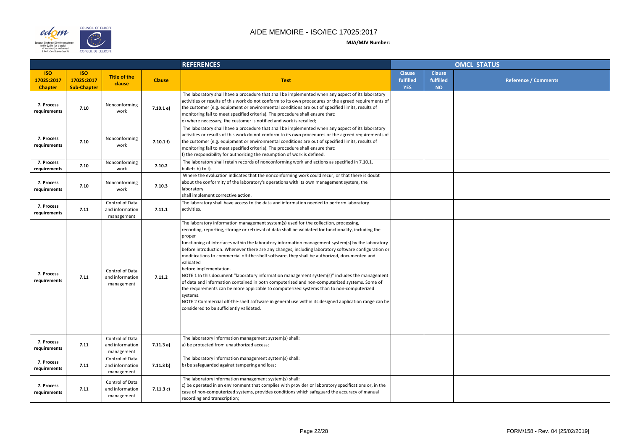



|                    |                                         | <b>OMCL STATUS</b> |                             |
|--------------------|-----------------------------------------|--------------------|-----------------------------|
| se<br>ed<br>)<br>D | <b>Clause</b><br>fulfilled<br><b>NO</b> |                    | <b>Reference / Comments</b> |
|                    |                                         |                    |                             |
|                    |                                         |                    |                             |
|                    |                                         |                    |                             |
|                    |                                         |                    |                             |
|                    |                                         |                    |                             |
|                    |                                         |                    |                             |
|                    |                                         |                    |                             |
|                    |                                         |                    |                             |
|                    |                                         |                    |                             |
|                    |                                         |                    |                             |
|                    |                                         |                    |                             |
|                    |                                         |                    |                             |
|                    |                                         |                    |                             |
|                    |                                         |                    |                             |
|                    |                                         |                    |                             |
|                    |                                         |                    |                             |
|                    |                                         |                    |                             |
|                    |                                         |                    |                             |
|                    |                                         |                    |                             |

|                                            |                                                |                                                  |               | <b>REFERENCES</b>                                                                                                                                                                                                                                                                                                                                                                                                                                                                                                                                                                                                                                                                                                                                                                                                                                                                                                                                                                                                         |                                          | <b>OMCL STATUS</b>                      |  |  |
|--------------------------------------------|------------------------------------------------|--------------------------------------------------|---------------|---------------------------------------------------------------------------------------------------------------------------------------------------------------------------------------------------------------------------------------------------------------------------------------------------------------------------------------------------------------------------------------------------------------------------------------------------------------------------------------------------------------------------------------------------------------------------------------------------------------------------------------------------------------------------------------------------------------------------------------------------------------------------------------------------------------------------------------------------------------------------------------------------------------------------------------------------------------------------------------------------------------------------|------------------------------------------|-----------------------------------------|--|--|
| <b>ISO</b><br>17025:2017<br><b>Chapter</b> | <b>ISO</b><br>17025:2017<br><b>Sub-Chapter</b> | <b>Title of the</b><br>clause                    | <b>Clause</b> | <b>Text</b>                                                                                                                                                                                                                                                                                                                                                                                                                                                                                                                                                                                                                                                                                                                                                                                                                                                                                                                                                                                                               | <b>Clause</b><br>fulfilled<br><b>YES</b> | <b>Clause</b><br>fulfilled<br><b>NO</b> |  |  |
| 7. Process<br>requirements                 | 7.10                                           | Nonconforming<br>work                            | 7.10.1 e)     | The laboratory shall have a procedure that shall be implemented when any aspect of its laboratory<br>activities or results of this work do not conform to its own procedures or the agreed requirements of<br>the customer (e.g. equipment or environmental conditions are out of specified limits, results of<br>monitoring fail to meet specified criteria). The procedure shall ensure that:<br>e) where necessary, the customer is notified and work is recalled;                                                                                                                                                                                                                                                                                                                                                                                                                                                                                                                                                     |                                          |                                         |  |  |
| 7. Process<br>requirements                 | 7.10                                           | Nonconforming<br>work                            | 7.10.1 f      | The laboratory shall have a procedure that shall be implemented when any aspect of its laboratory<br>activities or results of this work do not conform to its own procedures or the agreed requirements of<br>the customer (e.g. equipment or environmental conditions are out of specified limits, results of<br>monitoring fail to meet specified criteria). The procedure shall ensure that:<br>If) the responsibility for authorizing the resumption of work is defined.                                                                                                                                                                                                                                                                                                                                                                                                                                                                                                                                              |                                          |                                         |  |  |
| 7. Process<br>requirements                 | 7.10                                           | Nonconforming<br>work                            | 7.10.2        | The laboratory shall retain records of nonconforming work and actions as specified in 7.10.1,<br>bullets b) to f).                                                                                                                                                                                                                                                                                                                                                                                                                                                                                                                                                                                                                                                                                                                                                                                                                                                                                                        |                                          |                                         |  |  |
| 7. Process<br>requirements                 | 7.10                                           | Nonconforming<br>work                            | 7.10.3        | Where the evaluation indicates that the nonconforming work could recur, or that there is doubt<br>about the conformity of the laboratory's operations with its own management system, the<br>laboratory<br>shall implement corrective action.                                                                                                                                                                                                                                                                                                                                                                                                                                                                                                                                                                                                                                                                                                                                                                             |                                          |                                         |  |  |
| 7. Process<br>requirements                 | 7.11                                           | Control of Data<br>and information<br>management | 7.11.1        | The laboratory shall have access to the data and information needed to perform laboratory<br>activities.                                                                                                                                                                                                                                                                                                                                                                                                                                                                                                                                                                                                                                                                                                                                                                                                                                                                                                                  |                                          |                                         |  |  |
| 7. Process<br>requirements                 | 7.11                                           | Control of Data<br>and information<br>management | 7.11.2        | The laboratory information management system(s) used for the collection, processing,<br>recording, reporting, storage or retrieval of data shall be validated for functionality, including the<br>proper<br>functioning of interfaces within the laboratory information management system(s) by the laboratory<br>before introduction. Whenever there are any changes, including laboratory software configuration or<br>modifications to commercial off-the-shelf software, they shall be authorized, documented and<br>validated<br>before implementation.<br>NOTE 1 In this document "laboratory information management system(s)" includes the management<br>of data and information contained in both computerized and non-computerized systems. Some of<br>the requirements can be more applicable to computerized systems than to non-computerized<br>systems.<br>NOTE 2 Commercial off-the-shelf software in general use within its designed application range can be<br>considered to be sufficiently validated. |                                          |                                         |  |  |
| 7. Process<br>requirements                 | 7.11                                           | Control of Data<br>and information<br>management | 7.11.3a)      | The laboratory information management system(s) shall:<br>a) be protected from unauthorized access;                                                                                                                                                                                                                                                                                                                                                                                                                                                                                                                                                                                                                                                                                                                                                                                                                                                                                                                       |                                          |                                         |  |  |
| 7. Process<br>requirements                 | 7.11                                           | Control of Data<br>and information<br>management | 7.11.3 b)     | The laboratory information management system(s) shall:<br>b) be safeguarded against tampering and loss;                                                                                                                                                                                                                                                                                                                                                                                                                                                                                                                                                                                                                                                                                                                                                                                                                                                                                                                   |                                          |                                         |  |  |
| 7. Process<br>requirements                 | 7.11                                           | Control of Data<br>and information<br>management | 7.11.3c)      | The laboratory information management system(s) shall:<br>$ c\rangle$ be operated in an environment that complies with provider or laboratory specifications or, in the<br>case of non-computerized systems, provides conditions which safeguard the accuracy of manual<br>recording and transcription;                                                                                                                                                                                                                                                                                                                                                                                                                                                                                                                                                                                                                                                                                                                   |                                          |                                         |  |  |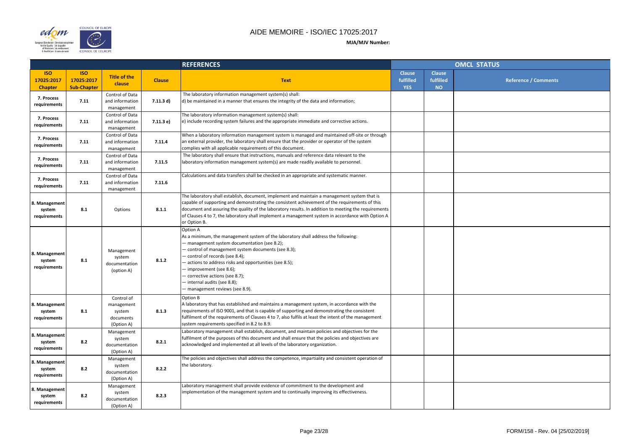

| <b>OMCL STATUS</b> |                                         |                      |  |  |  |  |
|--------------------|-----------------------------------------|----------------------|--|--|--|--|
| se<br>ed<br>).     | <b>Clause</b><br>fulfilled<br><b>NO</b> | Reference / Comments |  |  |  |  |
|                    |                                         |                      |  |  |  |  |
|                    |                                         |                      |  |  |  |  |
|                    |                                         |                      |  |  |  |  |
|                    |                                         |                      |  |  |  |  |
|                    |                                         |                      |  |  |  |  |
|                    |                                         |                      |  |  |  |  |
|                    |                                         |                      |  |  |  |  |
|                    |                                         |                      |  |  |  |  |
|                    |                                         |                      |  |  |  |  |
|                    |                                         |                      |  |  |  |  |
|                    |                                         |                      |  |  |  |  |
|                    |                                         |                      |  |  |  |  |
|                    |                                         |                      |  |  |  |  |
|                    |                                         |                      |  |  |  |  |
|                    |                                         |                      |  |  |  |  |
|                    |                                         |                      |  |  |  |  |

|                                            |                                                |                                                               |               | <b>REFERENCES</b>                                                                                                                                                                                                                                                                                                                                                                                                                          |                                          |                                         | <b>OMCL STATUS</b> |
|--------------------------------------------|------------------------------------------------|---------------------------------------------------------------|---------------|--------------------------------------------------------------------------------------------------------------------------------------------------------------------------------------------------------------------------------------------------------------------------------------------------------------------------------------------------------------------------------------------------------------------------------------------|------------------------------------------|-----------------------------------------|--------------------|
| <b>ISO</b><br>17025:2017<br><b>Chapter</b> | <b>ISO</b><br>17025:2017<br><b>Sub-Chapter</b> | <b>Title of the</b><br>clause                                 | <b>Clause</b> | <b>Text</b>                                                                                                                                                                                                                                                                                                                                                                                                                                | <b>Clause</b><br>fulfilled<br><b>YES</b> | <b>Clause</b><br>fulfilled<br><b>NO</b> |                    |
| 7. Process<br>requirements                 | 7.11                                           | Control of Data<br>and information<br>management              | 7.11.3 d)     | The laboratory information management system(s) shall:<br>$\vert$ d) be maintained in a manner that ensures the integrity of the data and information;                                                                                                                                                                                                                                                                                     |                                          |                                         |                    |
| 7. Process<br>requirements                 | 7.11                                           | Control of Data<br>and information<br>management              | 7.11.3 e)     | The laboratory information management system(s) shall:<br>$ e\rangle$ include recording system failures and the appropriate immediate and corrective actions.                                                                                                                                                                                                                                                                              |                                          |                                         |                    |
| 7. Process<br>requirements                 | 7.11                                           | Control of Data<br>and information<br>management              | 7.11.4        | When a laboratory information management system is managed and maintained off-site or through<br>an external provider, the laboratory shall ensure that the provider or operator of the system<br>complies with all applicable requirements of this document.                                                                                                                                                                              |                                          |                                         |                    |
| 7. Process<br>requirements                 | 7.11                                           | Control of Data<br>and information<br>management              | 7.11.5        | The laboratory shall ensure that instructions, manuals and reference data relevant to the<br>laboratory information management system(s) are made readily available to personnel.                                                                                                                                                                                                                                                          |                                          |                                         |                    |
| 7. Process<br>requirements                 | 7.11                                           | Control of Data<br>and information<br>management              | 7.11.6        | Calculations and data transfers shall be checked in an appropriate and systematic manner.                                                                                                                                                                                                                                                                                                                                                  |                                          |                                         |                    |
| 8. Management<br>system<br>requirements    | 8.1                                            | Options                                                       | 8.1.1         | The laboratory shall establish, document, implement and maintain a management system that is<br>capable of supporting and demonstrating the consistent achievement of the requirements of this<br>document and assuring the quality of the laboratory results. In addition to meeting the requirements<br>of Clauses 4 to 7, the laboratory shall implement a management system in accordance with Option A<br>or Option B.                |                                          |                                         |                    |
| 8. Management<br>system<br>requirements    | 8.1                                            | Management<br>system<br>documentation<br>(option A)           | 8.1.2         | <b>Option A</b><br>As a minimum, the management system of the laboratory shall address the following:<br>- management system documentation (see 8.2);<br>- control of management system documents (see 8.3);<br>control of records (see 8.4);<br>- actions to address risks and opportunities (see 8.5);<br>- improvement (see 8.6);<br>- corrective actions (see 8.7);<br>- internal audits (see 8.8);<br>- management reviews (see 8.9). |                                          |                                         |                    |
| 8. Management<br>system<br>requirements    | 8.1                                            | Control of<br>management<br>system<br>documents<br>(Option A) | 8.1.3         | Option B<br>A laboratory that has established and maintains a management system, in accordance with the<br>requirements of ISO 9001, and that is capable of supporting and demonstrating the consistent<br>fulfilment of the requirements of Clauses 4 to 7, also fulfils at least the intent of the management<br>system requirements specified in 8.2 to 8.9.                                                                            |                                          |                                         |                    |
| 8. Management<br>system<br>requirements    | 8.2                                            | Management<br>system<br>documentation<br>(Option A)           | 8.2.1         | Laboratory management shall establish, document, and maintain policies and objectives for the<br>fulfilment of the purposes of this document and shall ensure that the policies and objectives are<br>acknowledged and implemented at all levels of the laboratory organization.                                                                                                                                                           |                                          |                                         |                    |
| 8. Management<br>system<br>requirements    | 8.2                                            | Management<br>system<br>documentation<br>(Option A)           | 8.2.2         | The policies and objectives shall address the competence, impartiality and consistent operation of<br>the laboratory.                                                                                                                                                                                                                                                                                                                      |                                          |                                         |                    |
| 8. Management<br>system<br>requirements    | 8.2                                            | Management<br>system<br>documentation<br>(Option A)           | 8.2.3         | Laboratory management shall provide evidence of commitment to the development and<br>implementation of the management system and to continually improving its effectiveness.                                                                                                                                                                                                                                                               |                                          |                                         |                    |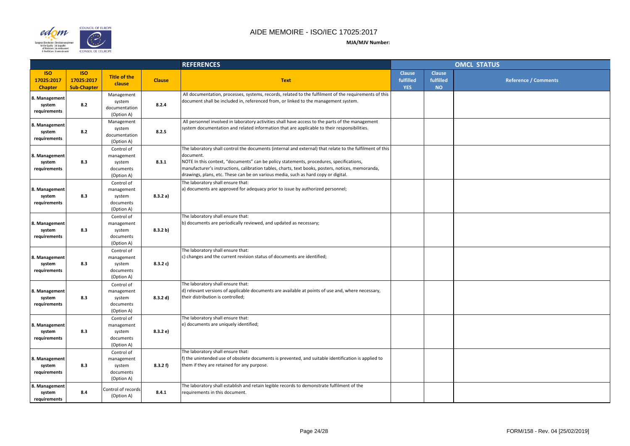

| OMCL STATUS        |                                         |                             |  |  |  |  |
|--------------------|-----------------------------------------|-----------------------------|--|--|--|--|
| se<br>ed<br>i<br>D | <b>Clause</b><br>fulfilled<br><b>NO</b> | <b>Reference / Comments</b> |  |  |  |  |
|                    |                                         |                             |  |  |  |  |
|                    |                                         |                             |  |  |  |  |
|                    |                                         |                             |  |  |  |  |
|                    |                                         |                             |  |  |  |  |
|                    |                                         |                             |  |  |  |  |
|                    |                                         |                             |  |  |  |  |
|                    |                                         |                             |  |  |  |  |
|                    |                                         |                             |  |  |  |  |
|                    |                                         |                             |  |  |  |  |
|                    |                                         |                             |  |  |  |  |
|                    |                                         |                             |  |  |  |  |
|                    |                                         |                             |  |  |  |  |
|                    |                                         |                             |  |  |  |  |
|                    |                                         |                             |  |  |  |  |
|                    |                                         |                             |  |  |  |  |
|                    |                                         |                             |  |  |  |  |
|                    |                                         |                             |  |  |  |  |
|                    |                                         |                             |  |  |  |  |
|                    |                                         |                             |  |  |  |  |

|                                            |                                                |                                                               |               | <b>REFERENCES</b>                                                                                                                                                                                                                                                                                                                                                                                           |                                          |                                         | <b>OMCL STATUS</b> |
|--------------------------------------------|------------------------------------------------|---------------------------------------------------------------|---------------|-------------------------------------------------------------------------------------------------------------------------------------------------------------------------------------------------------------------------------------------------------------------------------------------------------------------------------------------------------------------------------------------------------------|------------------------------------------|-----------------------------------------|--------------------|
| <b>ISO</b><br>17025:2017<br><b>Chapter</b> | <b>ISO</b><br>17025:2017<br><b>Sub-Chapter</b> | <b>Title of the</b><br>clause                                 | <b>Clause</b> | <b>Text</b>                                                                                                                                                                                                                                                                                                                                                                                                 | <b>Clause</b><br>fulfilled<br><b>YES</b> | <b>Clause</b><br>fulfilled<br><b>NO</b> |                    |
| 8. Management<br>system<br>requirements    | 8.2                                            | Management<br>system<br>documentation<br>(Option A)           | 8.2.4         | All documentation, processes, systems, records, related to the fulfilment of the requirements of this<br>document shall be included in, referenced from, or linked to the management system.                                                                                                                                                                                                                |                                          |                                         |                    |
| 8. Management<br>system<br>requirements    | 8.2                                            | Management<br>system<br>documentation<br>(Option A)           | 8.2.5         | All personnel involved in laboratory activities shall have access to the parts of the management<br>system documentation and related information that are applicable to their responsibilities.                                                                                                                                                                                                             |                                          |                                         |                    |
| 8. Management<br>system<br>requirements    | 8.3                                            | Control of<br>management<br>system<br>documents<br>(Option A) | 8.3.1         | The laboratory shall control the documents (internal and external) that relate to the fulfilment of this<br>document.<br>NOTE In this context, "documents" can be policy statements, procedures, specifications,<br>manufacturer's instructions, calibration tables, charts, text books, posters, notices, memoranda,<br>drawings, plans, etc. These can be on various media, such as hard copy or digital. |                                          |                                         |                    |
| 8. Management<br>system<br>requirements    | 8.3                                            | Control of<br>management<br>system<br>documents<br>(Option A) | 8.3.2 a)      | The laboratory shall ensure that:<br>a) documents are approved for adequacy prior to issue by authorized personnel;                                                                                                                                                                                                                                                                                         |                                          |                                         |                    |
| 8. Management<br>system<br>requirements    | 8.3                                            | Control of<br>management<br>system<br>documents<br>(Option A) | 8.3.2 b)      | The laboratory shall ensure that:<br>(b) documents are periodically reviewed, and updated as necessary;                                                                                                                                                                                                                                                                                                     |                                          |                                         |                    |
| 8. Management<br>system<br>requirements    | 8.3                                            | Control of<br>management<br>system<br>documents<br>(Option A) | 8.3.2 c)      | The laboratory shall ensure that:<br>c) changes and the current revision status of documents are identified;                                                                                                                                                                                                                                                                                                |                                          |                                         |                    |
| 8. Management<br>system<br>requirements    | 8.3                                            | Control of<br>management<br>system<br>documents<br>(Option A) | 8.3.2 d)      | The laboratory shall ensure that:<br>$\vert$ d) relevant versions of applicable documents are available at points of use and, where necessary,<br>their distribution is controlled;                                                                                                                                                                                                                         |                                          |                                         |                    |
| 8. Management<br>system<br>requirements    | 8.3                                            | Control of<br>management<br>system<br>documents<br>(Option A) | 8.3.2 e)      | The laboratory shall ensure that:<br>e) documents are uniquely identified;                                                                                                                                                                                                                                                                                                                                  |                                          |                                         |                    |
| 8. Management<br>system<br>requirements    | 8.3                                            | Control of<br>management<br>system<br>documents<br>(Option A) | 8.3.2 f)      | The laboratory shall ensure that:<br>f) the unintended use of obsolete documents is prevented, and suitable identification is applied to<br>them if they are retained for any purpose.                                                                                                                                                                                                                      |                                          |                                         |                    |
| 8. Management<br>system<br>requirements    | 8.4                                            | Control of records<br>(Option A)                              | 8.4.1         | The laboratory shall establish and retain legible records to demonstrate fulfilment of the<br>requirements in this document.                                                                                                                                                                                                                                                                                |                                          |                                         |                    |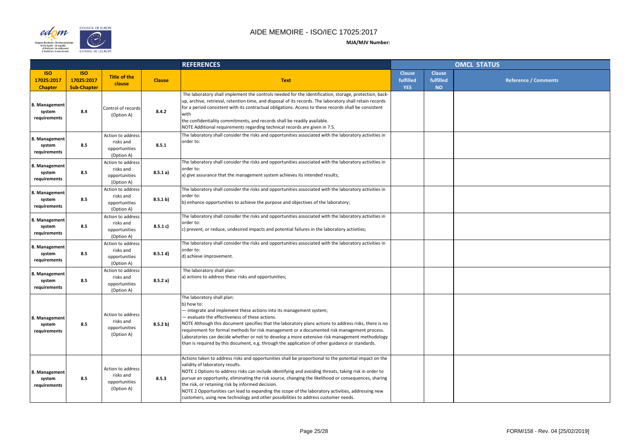

| <b>OMCL STATUS</b> |                                         |                             |  |  |  |  |
|--------------------|-----------------------------------------|-----------------------------|--|--|--|--|
| se<br>ed<br>j.     | <b>Clause</b><br>fulfilled<br><b>NO</b> | <b>Reference / Comments</b> |  |  |  |  |
|                    |                                         |                             |  |  |  |  |
|                    |                                         |                             |  |  |  |  |
|                    |                                         |                             |  |  |  |  |
|                    |                                         |                             |  |  |  |  |
|                    |                                         |                             |  |  |  |  |
|                    |                                         |                             |  |  |  |  |
|                    |                                         |                             |  |  |  |  |
|                    |                                         |                             |  |  |  |  |
|                    |                                         |                             |  |  |  |  |
|                    |                                         |                             |  |  |  |  |
|                    |                                         |                             |  |  |  |  |
|                    |                                         |                             |  |  |  |  |
|                    |                                         |                             |  |  |  |  |
|                    |                                         |                             |  |  |  |  |
|                    |                                         |                             |  |  |  |  |
|                    |                                         |                             |  |  |  |  |

|                                            |                                                |                                                               |               | <b>REFERENCES</b>                                                                                                                                                                                                                                                                                                                                                                                                                                                                                                                                                                                         |                                          |                                         | <b>OMCL STATUS</b> |
|--------------------------------------------|------------------------------------------------|---------------------------------------------------------------|---------------|-----------------------------------------------------------------------------------------------------------------------------------------------------------------------------------------------------------------------------------------------------------------------------------------------------------------------------------------------------------------------------------------------------------------------------------------------------------------------------------------------------------------------------------------------------------------------------------------------------------|------------------------------------------|-----------------------------------------|--------------------|
| <b>ISO</b><br>17025:2017<br><b>Chapter</b> | <b>ISO</b><br>17025:2017<br><b>Sub-Chapter</b> | <b>Title of the</b><br>clause                                 | <b>Clause</b> | <b>Text</b>                                                                                                                                                                                                                                                                                                                                                                                                                                                                                                                                                                                               | <b>Clause</b><br>fulfilled<br><b>YES</b> | <b>Clause</b><br>fulfilled<br><b>NO</b> |                    |
| 8. Management<br>system<br>requirements    | 8.4                                            | Control of records<br>(Option A)                              | 8.4.2         | The laboratory shall implement the controls needed for the identification, storage, protection, back-<br>up, archive, retrieval, retention time, and disposal of its records. The laboratory shall retain records<br>for a period consistent with its contractual obligations. Access to these records shall be consistent<br>with<br>the confidentiality commitments, and records shall be readily available.<br>NOTE Additional requirements regarding technical records are given in 7.5.                                                                                                              |                                          |                                         |                    |
| 8. Management<br>system<br>requirements    | 8.5                                            | Action to address<br>risks and<br>opportunities<br>(Option A) | 8.5.1         | The laboratory shall consider the risks and opportunities associated with the laboratory activities in<br>order to:                                                                                                                                                                                                                                                                                                                                                                                                                                                                                       |                                          |                                         |                    |
| 8. Management<br>system<br>requirements    | 8.5                                            | Action to address<br>risks and<br>opportunities<br>(Option A) | 8.5.1 a)      | The laboratory shall consider the risks and opportunities associated with the laboratory activities in<br>order to:<br>a) give assurance that the management system achieves its intended results;                                                                                                                                                                                                                                                                                                                                                                                                        |                                          |                                         |                    |
| 8. Management<br>system<br>requirements    | 8.5                                            | Action to address<br>risks and<br>opportunities<br>(Option A) | 8.5.1 b)      | The laboratory shall consider the risks and opportunities associated with the laboratory activities in<br>order to:<br>b) enhance opportunities to achieve the purpose and objectives of the laboratory;                                                                                                                                                                                                                                                                                                                                                                                                  |                                          |                                         |                    |
| 8. Management<br>system<br>requirements    | 8.5                                            | Action to address<br>risks and<br>opportunities<br>(Option A) | 8.5.1 c)      | The laboratory shall consider the risks and opportunities associated with the laboratory activities in<br>order to:<br>$\vert c \rangle$ prevent, or reduce, undesired impacts and potential failures in the laboratory activities;                                                                                                                                                                                                                                                                                                                                                                       |                                          |                                         |                    |
| 8. Management<br>system<br>requirements    | 8.5                                            | Action to address<br>risks and<br>opportunities<br>(Option A) | 8.5.1 d)      | The laboratory shall consider the risks and opportunities associated with the laboratory activities in<br>order to:<br>d) achieve improvement.                                                                                                                                                                                                                                                                                                                                                                                                                                                            |                                          |                                         |                    |
| 8. Management<br>system<br>requirements    | 8.5                                            | Action to address<br>risks and<br>opportunities<br>(Option A) | 8.5.2a)       | The laboratory shall plan:<br>a) actions to address these risks and opportunities;                                                                                                                                                                                                                                                                                                                                                                                                                                                                                                                        |                                          |                                         |                    |
| 8. Management<br>system<br>requirements    | 8.5                                            | Action to address<br>risks and<br>opportunities<br>(Option A) | 8.5.2 b)      | The laboratory shall plan:<br>b) how to:<br>- integrate and implement these actions into its management system;<br>- evaluate the effectiveness of these actions.<br>NOTE Although this document specifies that the laboratory plans actions to address risks, there is no<br>requirement for formal methods for risk management or a documented risk management process.<br>Laboratories can decide whether or not to develop a more extensive risk management methodology<br>than is required by this document, e.g. through the application of other guidance or standards.                            |                                          |                                         |                    |
| 8. Management<br>system<br>requirements    | 8.5                                            | Action to address<br>risks and<br>opportunities<br>(Option A) | 8.5.3         | Actions taken to address risks and opportunities shall be proportional to the potential impact on the<br>validity of laboratory results.<br>NOTE 1 Options to address risks can include identifying and avoiding threats, taking risk in order to<br>pursue an opportunity, eliminating the risk source, changing the likelihood or consequences, sharing<br>the risk, or retaining risk by informed decision.<br>NOTE 2 Opportunities can lead to expanding the scope of the laboratory activities, addressing new<br>customers, using new technology and other possibilities to address customer needs. |                                          |                                         |                    |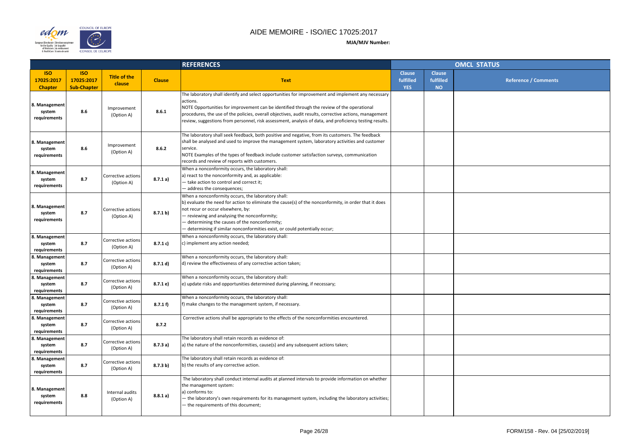

|                |                                         | OMCL STATUS                 |
|----------------|-----------------------------------------|-----------------------------|
| se<br>ed<br>i. | <b>Clause</b><br>fulfilled<br><b>NO</b> | <b>Reference / Comments</b> |
|                |                                         |                             |
|                |                                         |                             |
|                |                                         |                             |
|                |                                         |                             |
|                |                                         |                             |
|                |                                         |                             |
|                |                                         |                             |
|                |                                         |                             |
|                |                                         |                             |
|                |                                         |                             |
|                |                                         |                             |
|                |                                         |                             |
|                |                                         |                             |
|                |                                         |                             |
|                |                                         |                             |
|                |                                         |                             |
|                |                                         |                             |
|                |                                         |                             |

|                                            |                                                |                                  |               | <b>REFERENCES</b>                                                                                                                                                                                                                                                                                                                                                                                                                 |                                          |                                         | <b>OMCL STATUS</b> |
|--------------------------------------------|------------------------------------------------|----------------------------------|---------------|-----------------------------------------------------------------------------------------------------------------------------------------------------------------------------------------------------------------------------------------------------------------------------------------------------------------------------------------------------------------------------------------------------------------------------------|------------------------------------------|-----------------------------------------|--------------------|
| <b>ISO</b><br>17025:2017<br><b>Chapter</b> | <b>ISO</b><br>17025:2017<br><b>Sub-Chapter</b> | <b>Title of the</b><br>clause    | <b>Clause</b> | <b>Text</b>                                                                                                                                                                                                                                                                                                                                                                                                                       | <b>Clause</b><br>fulfilled<br><b>YES</b> | <b>Clause</b><br>fulfilled<br><b>NO</b> |                    |
| 8. Management<br>system<br>requirements    | 8.6                                            | Improvement<br>(Option A)        | 8.6.1         | The laboratory shall identify and select opportunities for improvement and implement any necessary<br>actions.<br>NOTE Opportunities for improvement can be identified through the review of the operational<br>procedures, the use of the policies, overall objectives, audit results, corrective actions, management<br>review, suggestions from personnel, risk assessment, analysis of data, and proficiency testing results. |                                          |                                         |                    |
| 8. Management<br>system<br>requirements    | 8.6                                            | Improvement<br>(Option A)        | 8.6.2         | The laboratory shall seek feedback, both positive and negative, from its customers. The feedback<br>shall be analysed and used to improve the management system, laboratory activities and customer<br>service.<br>NOTE Examples of the types of feedback include customer satisfaction surveys, communication<br>records and review of reports with customers.                                                                   |                                          |                                         |                    |
| 8. Management<br>system<br>requirements    | 8.7                                            | Corrective actions<br>(Option A) | 8.7.1a)       | When a nonconformity occurs, the laboratory shall:<br>a) react to the nonconformity and, as applicable:<br>- take action to control and correct it;<br>- address the consequences;                                                                                                                                                                                                                                                |                                          |                                         |                    |
| 8. Management<br>system<br>requirements    | 8.7                                            | Corrective actions<br>(Option A) | 8.7.1 b)      | When a nonconformity occurs, the laboratory shall:<br>b) evaluate the need for action to eliminate the cause(s) of the nonconformity, in order that it does<br>not recur or occur elsewhere, by:<br>- reviewing and analysing the nonconformity;<br>determining the causes of the nonconformity;<br>determining if similar nonconformities exist, or could potentially occur;                                                     |                                          |                                         |                    |
| 8. Management<br>system<br>requirements    | 8.7                                            | Corrective actions<br>(Option A) | 8.7.1 c)      | When a nonconformity occurs, the laboratory shall:<br>c) implement any action needed;                                                                                                                                                                                                                                                                                                                                             |                                          |                                         |                    |
| 8. Management<br>system<br>requirements    | 8.7                                            | Corrective actions<br>(Option A) | 8.7.1 d)      | When a nonconformity occurs, the laboratory shall:<br>d) review the effectiveness of any corrective action taken;                                                                                                                                                                                                                                                                                                                 |                                          |                                         |                    |
| 8. Management<br>system<br>requirements    | 8.7                                            | Corrective actions<br>(Option A) | 8.7.1 e)      | When a nonconformity occurs, the laboratory shall:<br>e) update risks and opportunities determined during planning, if necessary;                                                                                                                                                                                                                                                                                                 |                                          |                                         |                    |
| 8. Management<br>system<br>requirements    | 8.7                                            | Corrective actions<br>(Option A) | 8.7.1 f       | When a nonconformity occurs, the laboratory shall:<br>f) make changes to the management system, if necessary.                                                                                                                                                                                                                                                                                                                     |                                          |                                         |                    |
| 8. Management<br>system<br>requirements    | 8.7                                            | Corrective actions<br>(Option A) | 8.7.2         | Corrective actions shall be appropriate to the effects of the nonconformities encountered.                                                                                                                                                                                                                                                                                                                                        |                                          |                                         |                    |
| 8. Management<br>system<br>requirements    | 8.7                                            | Corrective actions<br>(Option A) | 8.7.3a)       | The laboratory shall retain records as evidence of:<br>a) the nature of the nonconformities, cause(s) and any subsequent actions taken;                                                                                                                                                                                                                                                                                           |                                          |                                         |                    |
| 8. Management<br>system<br>requirements    | 8.7                                            | Corrective actions<br>(Option A) | 8.7.3 b)      | The laboratory shall retain records as evidence of:<br>b) the results of any corrective action.                                                                                                                                                                                                                                                                                                                                   |                                          |                                         |                    |
| 8. Management<br>system<br>requirements    | 8.8                                            | Internal audits<br>(Option A)    | 8.8.1 a)      | The laboratory shall conduct internal audits at planned intervals to provide information on whether<br>the management system:<br>a) conforms to:<br>- the laboratory's own requirements for its management system, including the laboratory activities;<br>- the requirements of this document;                                                                                                                                   |                                          |                                         |                    |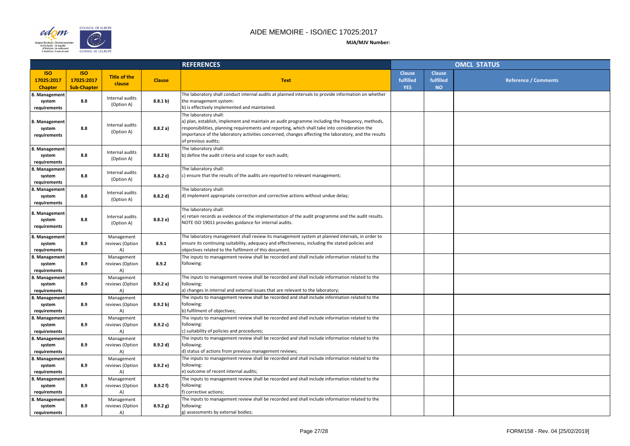

|                |                                         | <b>OMCL STATUS</b>   |
|----------------|-----------------------------------------|----------------------|
| se<br>ed<br>). | <b>Clause</b><br>fulfilled<br><b>NO</b> | Reference / Comments |
|                |                                         |                      |
|                |                                         |                      |
|                |                                         |                      |
|                |                                         |                      |
|                |                                         |                      |
|                |                                         |                      |
|                |                                         |                      |
|                |                                         |                      |
|                |                                         |                      |
|                |                                         |                      |
|                |                                         |                      |
|                |                                         |                      |
|                |                                         |                      |
|                |                                         |                      |
|                |                                         |                      |
|                |                                         |                      |
|                |                                         |                      |

|                                            |                                                |                                     |               | <b>REFERENCES</b>                                                                                                                                                                                                                                                                                                                                         |                                          |                                         | <b>OMCL STATUS</b> |
|--------------------------------------------|------------------------------------------------|-------------------------------------|---------------|-----------------------------------------------------------------------------------------------------------------------------------------------------------------------------------------------------------------------------------------------------------------------------------------------------------------------------------------------------------|------------------------------------------|-----------------------------------------|--------------------|
| <b>ISO</b><br>17025:2017<br><b>Chapter</b> | <b>ISO</b><br>17025:2017<br><b>Sub-Chapter</b> | <b>Title of the</b><br>clause       | <b>Clause</b> | <b>Text</b>                                                                                                                                                                                                                                                                                                                                               | <b>Clause</b><br>fulfilled<br><b>YES</b> | <b>Clause</b><br>fulfilled<br><b>NO</b> |                    |
| 8. Management<br>system<br>requirements    | 8.8                                            | Internal audits<br>(Option A)       | 8.8.1 b)      | The laboratory shall conduct internal audits at planned intervals to provide information on whether<br>the management system:<br>b) is effectively implemented and maintained.                                                                                                                                                                            |                                          |                                         |                    |
| 8. Management<br>system<br>requirements    | 8.8                                            | Internal audits<br>(Option A)       | 8.8.2 a)      | The laboratory shall:<br>a) plan, establish, implement and maintain an audit programme including the frequency, methods,<br>responsibilities, planning requirements and reporting, which shall take into consideration the<br>importance of the laboratory activities concerned, changes affecting the laboratory, and the results<br>of previous audits; |                                          |                                         |                    |
| 8. Management<br>system<br>requirements    | 8.8                                            | Internal audits<br>(Option A)       | 8.8.2 b)      | The laboratory shall:<br>b) define the audit criteria and scope for each audit;                                                                                                                                                                                                                                                                           |                                          |                                         |                    |
| 8. Management<br>system<br>requirements    | 8.8                                            | Internal audits<br>(Option A)       | 8.8.2 c)      | The laboratory shall:<br>) ensure that the results of the audits are reported to relevant management;                                                                                                                                                                                                                                                     |                                          |                                         |                    |
| 8. Management<br>system<br>requirements    | 8.8                                            | Internal audits<br>(Option A)       | 8.8.2 d)      | The laboratory shall:<br>d) implement appropriate correction and corrective actions without undue delay;                                                                                                                                                                                                                                                  |                                          |                                         |                    |
| 8. Management<br>system<br>requirements    | 8.8                                            | Internal audits<br>(Option A)       | 8.8.2 e)      | The laboratory shall:<br>e) retain records as evidence of the implementation of the audit programme and the audit results.<br>NOTE ISO 19011 provides guidance for internal audits.                                                                                                                                                                       |                                          |                                         |                    |
| 8. Management<br>system<br>requirements    | 8.9                                            | Management<br>reviews (Option<br>A) | 8.9.1         | The laboratory management shall review its management system at planned intervals, in order to<br>ensure its continuing suitability, adequacy and effectiveness, including the stated policies and<br>objectives related to the fulfilment of this document.                                                                                              |                                          |                                         |                    |
| 8. Management<br>system<br>requirements    | 8.9                                            | Management<br>reviews (Option<br>A) | 8.9.2         | The inputs to management review shall be recorded and shall include information related to the<br>following:                                                                                                                                                                                                                                              |                                          |                                         |                    |
| 8. Management<br>system<br>requirements    | 8.9                                            | Management<br>reviews (Option<br>A) | 8.9.2 a)      | The inputs to management review shall be recorded and shall include information related to the<br>following:<br>a) changes in internal and external issues that are relevant to the laboratory;                                                                                                                                                           |                                          |                                         |                    |
| 8. Management<br>system<br>requirements    | 8.9                                            | Management<br>reviews (Option<br>A) | 8.9.2 b)      | The inputs to management review shall be recorded and shall include information related to the<br>following:<br>b) fulfilment of objectives;                                                                                                                                                                                                              |                                          |                                         |                    |
| 8. Management<br>system<br>requirements    | 8.9                                            | Management<br>reviews (Option<br>A) | 8.9.2 c)      | The inputs to management review shall be recorded and shall include information related to the<br>following:<br>) suitability of policies and procedures;                                                                                                                                                                                                 |                                          |                                         |                    |
| 8. Management<br>system<br>requirements    | 8.9                                            | Management<br>reviews (Option<br>A) | 8.9.2 d)      | The inputs to management review shall be recorded and shall include information related to the<br>following:<br>d) status of actions from previous management reviews;                                                                                                                                                                                    |                                          |                                         |                    |
| 8. Management<br>system<br>requirements    | 8.9                                            | Management<br>reviews (Option<br>A) | 8.9.2 e)      | The inputs to management review shall be recorded and shall include information related to the<br>following:<br>e) outcome of recent internal audits;                                                                                                                                                                                                     |                                          |                                         |                    |
| 8. Management<br>system<br>requirements    | 8.9                                            | Management<br>reviews (Option<br>A) | 8.9.2 f       | The inputs to management review shall be recorded and shall include information related to the<br>following:<br>f) corrective actions;                                                                                                                                                                                                                    |                                          |                                         |                    |
| 8. Management<br>system<br>requirements    | 8.9                                            | Management<br>reviews (Option<br>A) | 8.9.2 g)      | The inputs to management review shall be recorded and shall include information related to the<br>following:<br>g) assessments by external bodies;                                                                                                                                                                                                        |                                          |                                         |                    |